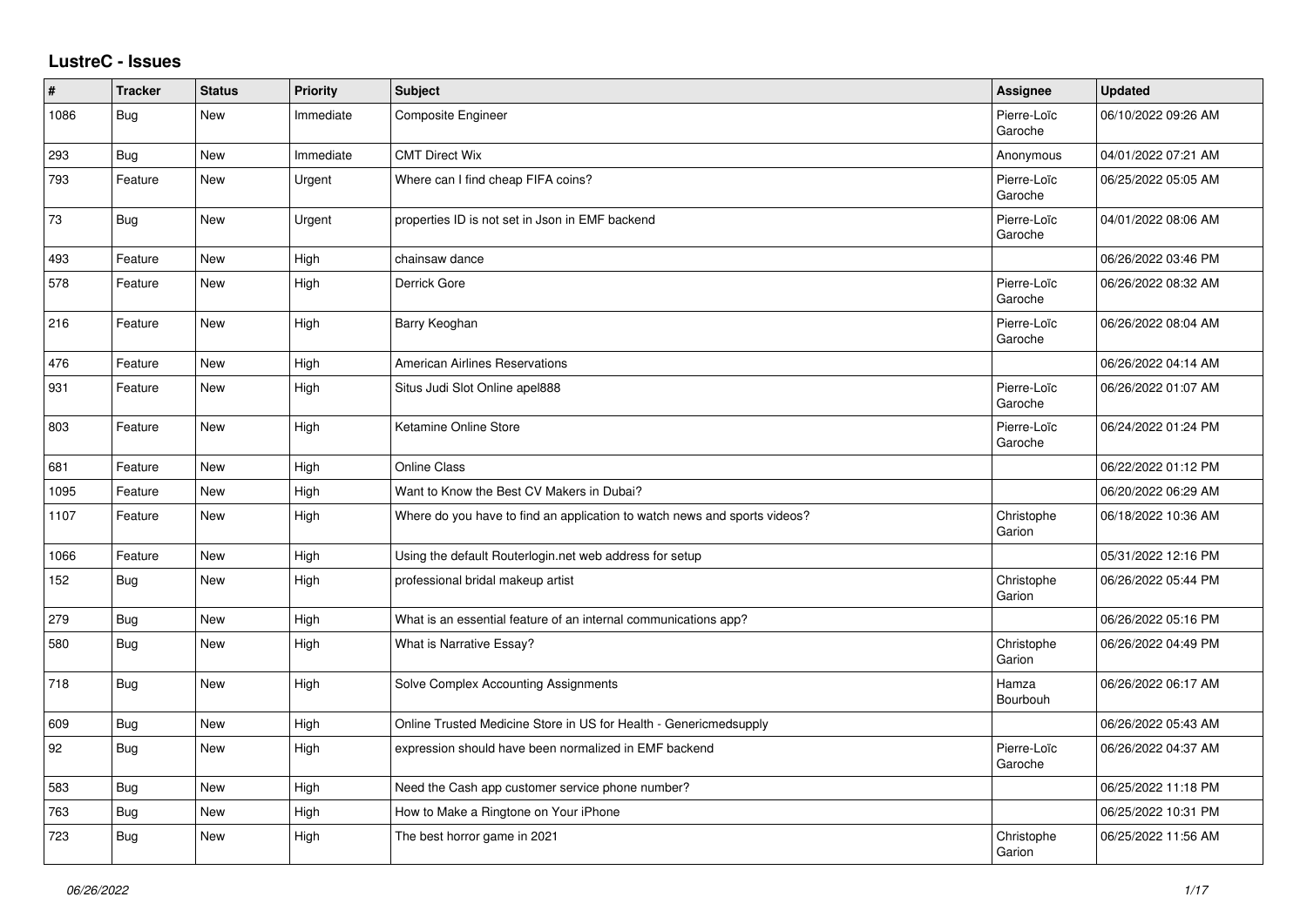## **LustreC - Issues**

| $\vert$ # | <b>Tracker</b> | <b>Status</b> | <b>Priority</b> | <b>Subject</b>                                                            | Assignee               | <b>Updated</b>      |
|-----------|----------------|---------------|-----------------|---------------------------------------------------------------------------|------------------------|---------------------|
| 1086      | <b>Bug</b>     | <b>New</b>    | Immediate       | Composite Engineer                                                        | Pierre-Loïc<br>Garoche | 06/10/2022 09:26 AM |
| 293       | Bug            | <b>New</b>    | Immediate       | <b>CMT Direct Wix</b>                                                     | Anonymous              | 04/01/2022 07:21 AM |
| 793       | Feature        | New           | Urgent          | Where can I find cheap FIFA coins?                                        | Pierre-Loïc<br>Garoche | 06/25/2022 05:05 AM |
| 73        | Bug            | New           | Urgent          | properties ID is not set in Json in EMF backend                           | Pierre-Loïc<br>Garoche | 04/01/2022 08:06 AM |
| 493       | Feature        | <b>New</b>    | High            | chainsaw dance                                                            |                        | 06/26/2022 03:46 PM |
| 578       | Feature        | <b>New</b>    | High            | Derrick Gore                                                              | Pierre-Loïc<br>Garoche | 06/26/2022 08:32 AM |
| 216       | Feature        | New           | High            | Barry Keoghan                                                             | Pierre-Loïc<br>Garoche | 06/26/2022 08:04 AM |
| 476       | Feature        | <b>New</b>    | High            | <b>American Airlines Reservations</b>                                     |                        | 06/26/2022 04:14 AM |
| 931       | Feature        | <b>New</b>    | High            | Situs Judi Slot Online apel888                                            | Pierre-Loïc<br>Garoche | 06/26/2022 01:07 AM |
| 803       | Feature        | New           | High            | Ketamine Online Store                                                     | Pierre-Loïc<br>Garoche | 06/24/2022 01:24 PM |
| 681       | Feature        | New           | High            | <b>Online Class</b>                                                       |                        | 06/22/2022 01:12 PM |
| 1095      | Feature        | <b>New</b>    | High            | Want to Know the Best CV Makers in Dubai?                                 |                        | 06/20/2022 06:29 AM |
| 1107      | Feature        | <b>New</b>    | High            | Where do you have to find an application to watch news and sports videos? | Christophe<br>Garion   | 06/18/2022 10:36 AM |
| 1066      | Feature        | <b>New</b>    | High            | Using the default Routerlogin.net web address for setup                   |                        | 05/31/2022 12:16 PM |
| 152       | Bug            | New           | High            | professional bridal makeup artist                                         | Christophe<br>Garion   | 06/26/2022 05:44 PM |
| 279       | Bug            | <b>New</b>    | High            | What is an essential feature of an internal communications app?           |                        | 06/26/2022 05:16 PM |
| 580       | <b>Bug</b>     | New           | High            | What is Narrative Essay?                                                  | Christophe<br>Garion   | 06/26/2022 04:49 PM |
| 718       | Bug            | <b>New</b>    | High            | Solve Complex Accounting Assignments                                      | Hamza<br>Bourbouh      | 06/26/2022 06:17 AM |
| 609       | Bug            | <b>New</b>    | High            | Online Trusted Medicine Store in US for Health - Genericmedsupply         |                        | 06/26/2022 05:43 AM |
| 92        | <b>Bug</b>     | New           | High            | expression should have been normalized in EMF backend                     | Pierre-Loïc<br>Garoche | 06/26/2022 04:37 AM |
| 583       | Bug            | <b>New</b>    | High            | Need the Cash app customer service phone number?                          |                        | 06/25/2022 11:18 PM |
| 763       | <b>Bug</b>     | <b>New</b>    | High            | How to Make a Ringtone on Your iPhone                                     |                        | 06/25/2022 10:31 PM |
| 723       | <b>Bug</b>     | <b>New</b>    | High            | The best horror game in 2021                                              | Christophe<br>Garion   | 06/25/2022 11:56 AM |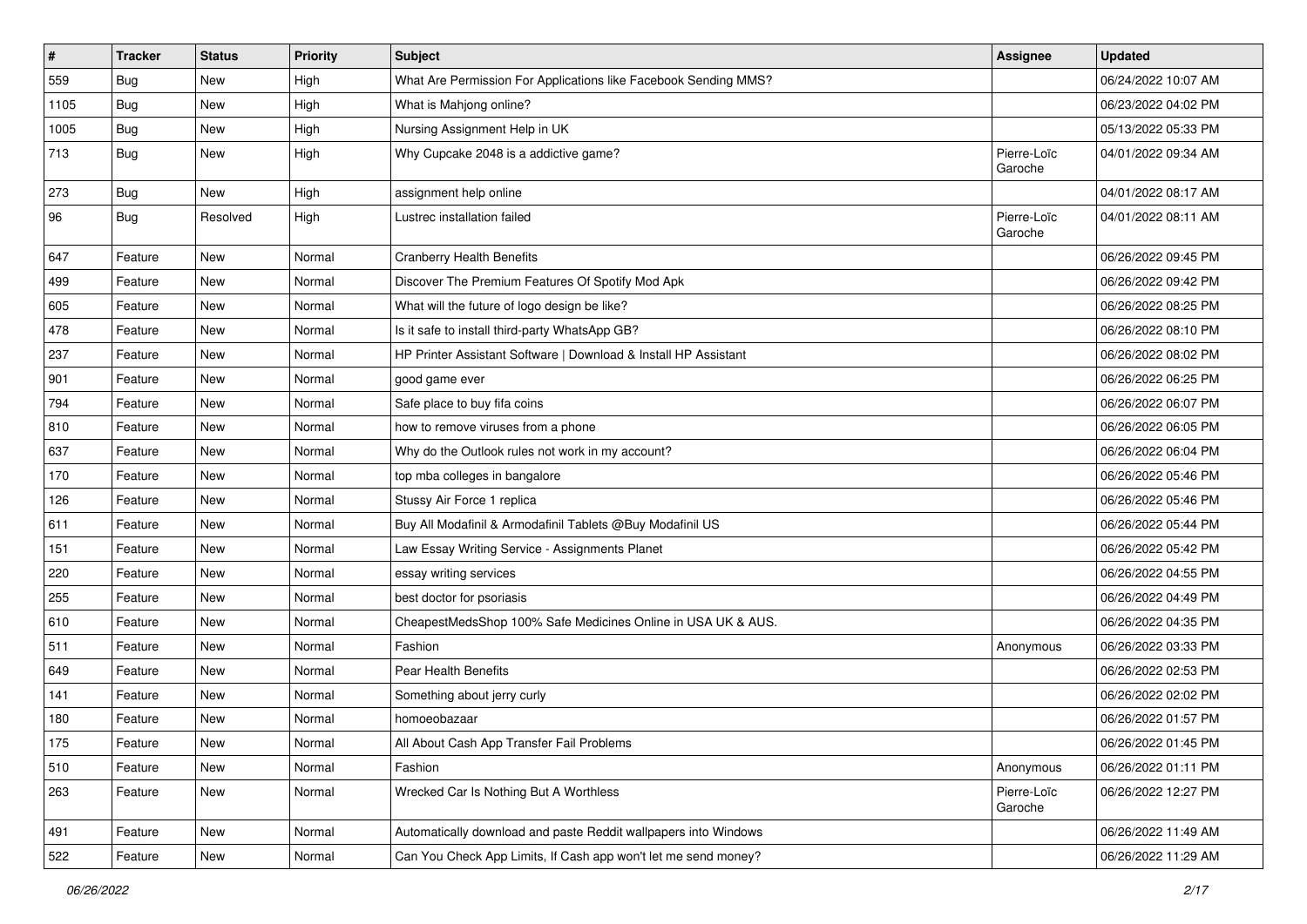| $\vert$ # | <b>Tracker</b> | <b>Status</b> | <b>Priority</b> | <b>Subject</b>                                                  | Assignee               | <b>Updated</b>      |
|-----------|----------------|---------------|-----------------|-----------------------------------------------------------------|------------------------|---------------------|
| 559       | <b>Bug</b>     | New           | High            | What Are Permission For Applications like Facebook Sending MMS? |                        | 06/24/2022 10:07 AM |
| 1105      | <b>Bug</b>     | <b>New</b>    | High            | What is Mahjong online?                                         |                        | 06/23/2022 04:02 PM |
| 1005      | Bug            | New           | High            | Nursing Assignment Help in UK                                   |                        | 05/13/2022 05:33 PM |
| 713       | <b>Bug</b>     | <b>New</b>    | High            | Why Cupcake 2048 is a addictive game?                           | Pierre-Loïc<br>Garoche | 04/01/2022 09:34 AM |
| 273       | <b>Bug</b>     | New           | High            | assignment help online                                          |                        | 04/01/2022 08:17 AM |
| 96        | Bug            | Resolved      | High            | Lustrec installation failed                                     | Pierre-Loïc<br>Garoche | 04/01/2022 08:11 AM |
| 647       | Feature        | New           | Normal          | <b>Cranberry Health Benefits</b>                                |                        | 06/26/2022 09:45 PM |
| 499       | Feature        | <b>New</b>    | Normal          | Discover The Premium Features Of Spotify Mod Apk                |                        | 06/26/2022 09:42 PM |
| 605       | Feature        | New           | Normal          | What will the future of logo design be like?                    |                        | 06/26/2022 08:25 PM |
| 478       | Feature        | <b>New</b>    | Normal          | Is it safe to install third-party WhatsApp GB?                  |                        | 06/26/2022 08:10 PM |
| 237       | Feature        | <b>New</b>    | Normal          | HP Printer Assistant Software   Download & Install HP Assistant |                        | 06/26/2022 08:02 PM |
| 901       | Feature        | New           | Normal          | good game ever                                                  |                        | 06/26/2022 06:25 PM |
| 794       | Feature        | <b>New</b>    | Normal          | Safe place to buy fifa coins                                    |                        | 06/26/2022 06:07 PM |
| 810       | Feature        | New           | Normal          | how to remove viruses from a phone                              |                        | 06/26/2022 06:05 PM |
| 637       | Feature        | New           | Normal          | Why do the Outlook rules not work in my account?                |                        | 06/26/2022 06:04 PM |
| 170       | Feature        | <b>New</b>    | Normal          | top mba colleges in bangalore                                   |                        | 06/26/2022 05:46 PM |
| 126       | Feature        | New           | Normal          | Stussy Air Force 1 replica                                      |                        | 06/26/2022 05:46 PM |
| 611       | Feature        | <b>New</b>    | Normal          | Buy All Modafinil & Armodafinil Tablets @Buy Modafinil US       |                        | 06/26/2022 05:44 PM |
| 151       | Feature        | <b>New</b>    | Normal          | Law Essay Writing Service - Assignments Planet                  |                        | 06/26/2022 05:42 PM |
| 220       | Feature        | New           | Normal          | essay writing services                                          |                        | 06/26/2022 04:55 PM |
| 255       | Feature        | <b>New</b>    | Normal          | best doctor for psoriasis                                       |                        | 06/26/2022 04:49 PM |
| 610       | Feature        | New           | Normal          | CheapestMedsShop 100% Safe Medicines Online in USA UK & AUS.    |                        | 06/26/2022 04:35 PM |
| 511       | Feature        | <b>New</b>    | Normal          | Fashion                                                         | Anonymous              | 06/26/2022 03:33 PM |
| 649       | Feature        | <b>New</b>    | Normal          | Pear Health Benefits                                            |                        | 06/26/2022 02:53 PM |
| 141       | Feature        | New           | Normal          | Something about jerry curly                                     |                        | 06/26/2022 02:02 PM |
| 180       | Feature        | <b>New</b>    | Normal          | homoeobazaar                                                    |                        | 06/26/2022 01:57 PM |
| 175       | Feature        | New           | Normal          | All About Cash App Transfer Fail Problems                       |                        | 06/26/2022 01:45 PM |
| 510       | Feature        | New           | Normal          | Fashion                                                         | Anonymous              | 06/26/2022 01:11 PM |
| 263       | Feature        | New           | Normal          | Wrecked Car Is Nothing But A Worthless                          | Pierre-Loïc<br>Garoche | 06/26/2022 12:27 PM |
| 491       | Feature        | New           | Normal          | Automatically download and paste Reddit wallpapers into Windows |                        | 06/26/2022 11:49 AM |
| 522       | Feature        | New           | Normal          | Can You Check App Limits, If Cash app won't let me send money?  |                        | 06/26/2022 11:29 AM |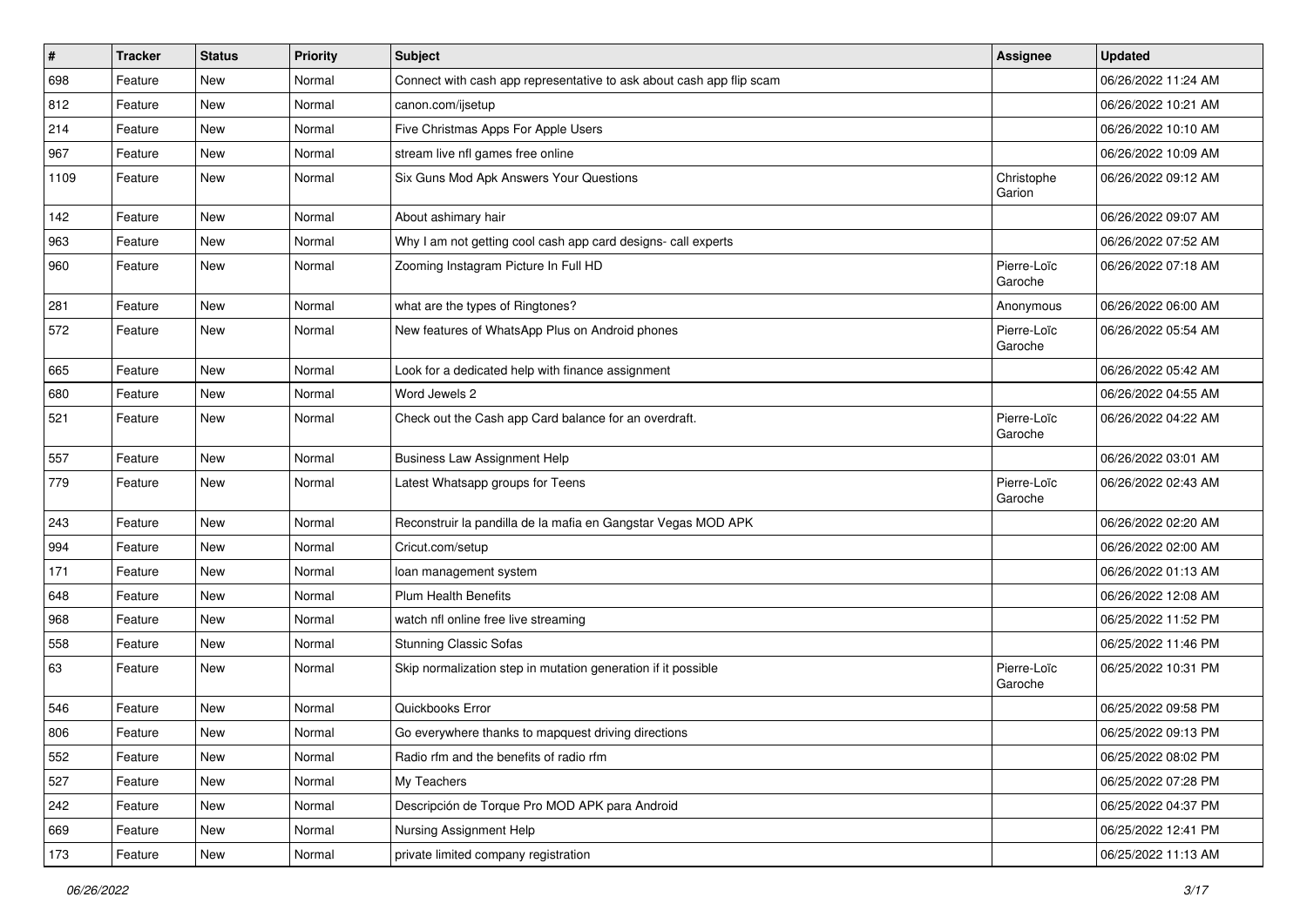| $\vert$ # | <b>Tracker</b> | <b>Status</b> | <b>Priority</b> | <b>Subject</b>                                                       | <b>Assignee</b>        | <b>Updated</b>      |
|-----------|----------------|---------------|-----------------|----------------------------------------------------------------------|------------------------|---------------------|
| 698       | Feature        | New           | Normal          | Connect with cash app representative to ask about cash app flip scam |                        | 06/26/2022 11:24 AM |
| 812       | Feature        | <b>New</b>    | Normal          | canon.com/ijsetup                                                    |                        | 06/26/2022 10:21 AM |
| 214       | Feature        | New           | Normal          | Five Christmas Apps For Apple Users                                  |                        | 06/26/2022 10:10 AM |
| 967       | Feature        | New           | Normal          | stream live nfl games free online                                    |                        | 06/26/2022 10:09 AM |
| 1109      | Feature        | New           | Normal          | Six Guns Mod Apk Answers Your Questions                              | Christophe<br>Garion   | 06/26/2022 09:12 AM |
| 142       | Feature        | New           | Normal          | About ashimary hair                                                  |                        | 06/26/2022 09:07 AM |
| 963       | Feature        | New           | Normal          | Why I am not getting cool cash app card designs- call experts        |                        | 06/26/2022 07:52 AM |
| 960       | Feature        | New           | Normal          | Zooming Instagram Picture In Full HD                                 | Pierre-Loïc<br>Garoche | 06/26/2022 07:18 AM |
| 281       | Feature        | New           | Normal          | what are the types of Ringtones?                                     | Anonymous              | 06/26/2022 06:00 AM |
| 572       | Feature        | New           | Normal          | New features of WhatsApp Plus on Android phones                      | Pierre-Loïc<br>Garoche | 06/26/2022 05:54 AM |
| 665       | Feature        | New           | Normal          | Look for a dedicated help with finance assignment                    |                        | 06/26/2022 05:42 AM |
| 680       | Feature        | New           | Normal          | Word Jewels 2                                                        |                        | 06/26/2022 04:55 AM |
| 521       | Feature        | New           | Normal          | Check out the Cash app Card balance for an overdraft.                | Pierre-Loïc<br>Garoche | 06/26/2022 04:22 AM |
| 557       | Feature        | <b>New</b>    | Normal          | <b>Business Law Assignment Help</b>                                  |                        | 06/26/2022 03:01 AM |
| 779       | Feature        | New           | Normal          | Latest Whatsapp groups for Teens                                     | Pierre-Loïc<br>Garoche | 06/26/2022 02:43 AM |
| 243       | Feature        | <b>New</b>    | Normal          | Reconstruir la pandilla de la mafia en Gangstar Vegas MOD APK        |                        | 06/26/2022 02:20 AM |
| 994       | Feature        | New           | Normal          | Cricut.com/setup                                                     |                        | 06/26/2022 02:00 AM |
| 171       | Feature        | New           | Normal          | loan management system                                               |                        | 06/26/2022 01:13 AM |
| 648       | Feature        | New           | Normal          | Plum Health Benefits                                                 |                        | 06/26/2022 12:08 AM |
| 968       | Feature        | New           | Normal          | watch nfl online free live streaming                                 |                        | 06/25/2022 11:52 PM |
| 558       | Feature        | <b>New</b>    | Normal          | <b>Stunning Classic Sofas</b>                                        |                        | 06/25/2022 11:46 PM |
| 63        | Feature        | New           | Normal          | Skip normalization step in mutation generation if it possible        | Pierre-Loïc<br>Garoche | 06/25/2022 10:31 PM |
| 546       | Feature        | <b>New</b>    | Normal          | Quickbooks Error                                                     |                        | 06/25/2022 09:58 PM |
| 806       | Feature        | New           | Normal          | Go everywhere thanks to mapquest driving directions                  |                        | 06/25/2022 09:13 PM |
| 552       | Feature        | New           | Normal          | Radio rfm and the benefits of radio rfm                              |                        | 06/25/2022 08:02 PM |
| 527       | Feature        | New           | Normal          | My Teachers                                                          |                        | 06/25/2022 07:28 PM |
| 242       | Feature        | New           | Normal          | Descripción de Torque Pro MOD APK para Android                       |                        | 06/25/2022 04:37 PM |
| 669       | Feature        | New           | Normal          | Nursing Assignment Help                                              |                        | 06/25/2022 12:41 PM |
| 173       | Feature        | New           | Normal          | private limited company registration                                 |                        | 06/25/2022 11:13 AM |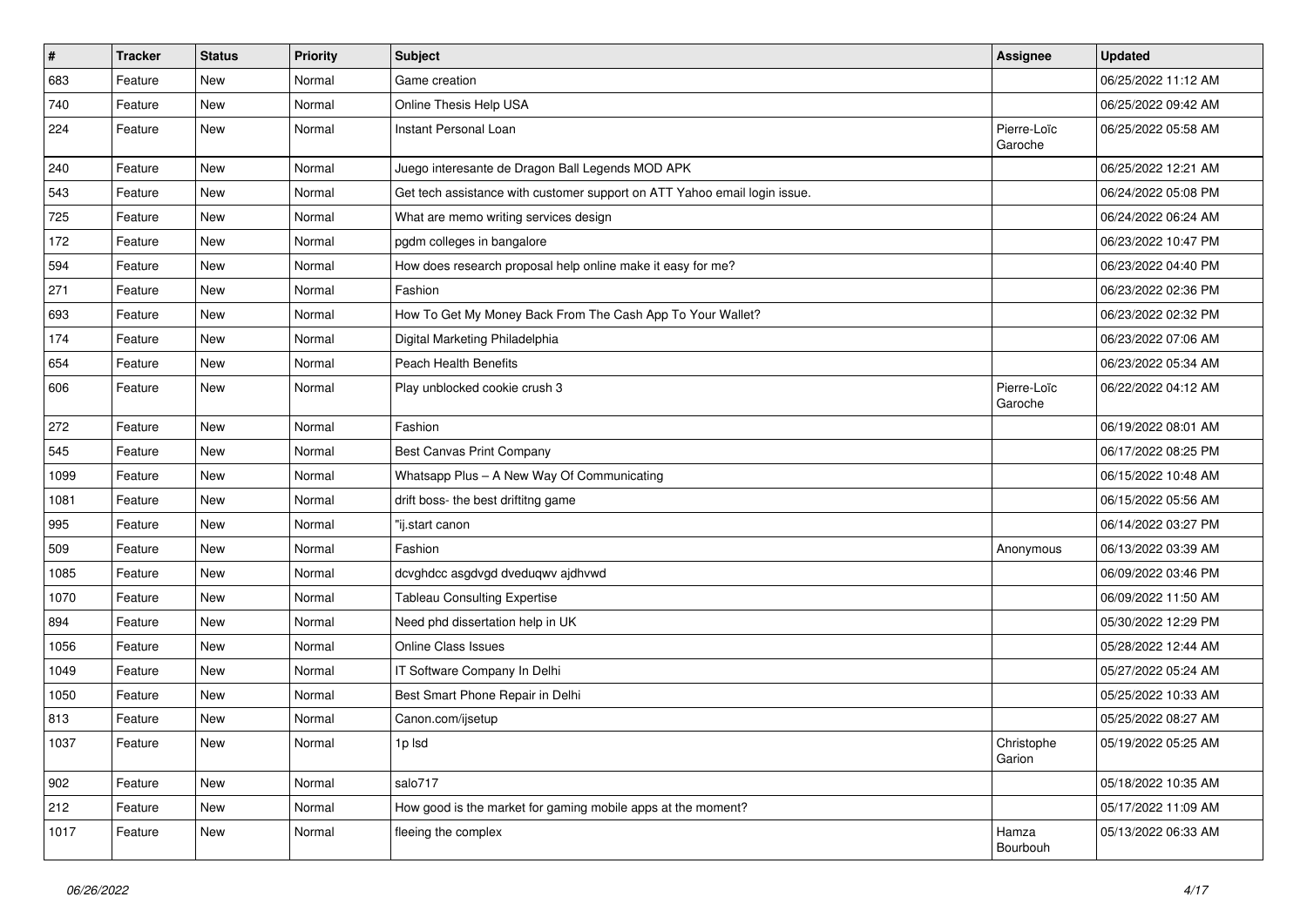| $\sharp$ | <b>Tracker</b> | <b>Status</b> | <b>Priority</b> | <b>Subject</b>                                                            | <b>Assignee</b>        | <b>Updated</b>      |
|----------|----------------|---------------|-----------------|---------------------------------------------------------------------------|------------------------|---------------------|
| 683      | Feature        | New           | Normal          | Game creation                                                             |                        | 06/25/2022 11:12 AM |
| 740      | Feature        | New           | Normal          | Online Thesis Help USA                                                    |                        | 06/25/2022 09:42 AM |
| 224      | Feature        | New           | Normal          | Instant Personal Loan                                                     | Pierre-Loïc<br>Garoche | 06/25/2022 05:58 AM |
| 240      | Feature        | New           | Normal          | Juego interesante de Dragon Ball Legends MOD APK                          |                        | 06/25/2022 12:21 AM |
| 543      | Feature        | New           | Normal          | Get tech assistance with customer support on ATT Yahoo email login issue. |                        | 06/24/2022 05:08 PM |
| 725      | Feature        | <b>New</b>    | Normal          | What are memo writing services design                                     |                        | 06/24/2022 06:24 AM |
| 172      | Feature        | <b>New</b>    | Normal          | pgdm colleges in bangalore                                                |                        | 06/23/2022 10:47 PM |
| 594      | Feature        | <b>New</b>    | Normal          | How does research proposal help online make it easy for me?               |                        | 06/23/2022 04:40 PM |
| 271      | Feature        | New           | Normal          | Fashion                                                                   |                        | 06/23/2022 02:36 PM |
| 693      | Feature        | New           | Normal          | How To Get My Money Back From The Cash App To Your Wallet?                |                        | 06/23/2022 02:32 PM |
| 174      | Feature        | <b>New</b>    | Normal          | Digital Marketing Philadelphia                                            |                        | 06/23/2022 07:06 AM |
| 654      | Feature        | <b>New</b>    | Normal          | Peach Health Benefits                                                     |                        | 06/23/2022 05:34 AM |
| 606      | Feature        | New           | Normal          | Play unblocked cookie crush 3                                             | Pierre-Loïc<br>Garoche | 06/22/2022 04:12 AM |
| 272      | Feature        | <b>New</b>    | Normal          | Fashion                                                                   |                        | 06/19/2022 08:01 AM |
| 545      | Feature        | <b>New</b>    | Normal          | <b>Best Canvas Print Company</b>                                          |                        | 06/17/2022 08:25 PM |
| 1099     | Feature        | New           | Normal          | Whatsapp Plus - A New Way Of Communicating                                |                        | 06/15/2022 10:48 AM |
| 1081     | Feature        | New           | Normal          | drift boss- the best driftitng game                                       |                        | 06/15/2022 05:56 AM |
| 995      | Feature        | <b>New</b>    | Normal          | "ij.start canon                                                           |                        | 06/14/2022 03:27 PM |
| 509      | Feature        | <b>New</b>    | Normal          | Fashion                                                                   | Anonymous              | 06/13/2022 03:39 AM |
| 1085     | Feature        | <b>New</b>    | Normal          | dcvghdcc asgdvgd dveduqwv ajdhvwd                                         |                        | 06/09/2022 03:46 PM |
| 1070     | Feature        | <b>New</b>    | Normal          | <b>Tableau Consulting Expertise</b>                                       |                        | 06/09/2022 11:50 AM |
| 894      | Feature        | New           | Normal          | Need phd dissertation help in UK                                          |                        | 05/30/2022 12:29 PM |
| 1056     | Feature        | <b>New</b>    | Normal          | Online Class Issues                                                       |                        | 05/28/2022 12:44 AM |
| 1049     | Feature        | <b>New</b>    | Normal          | IT Software Company In Delhi                                              |                        | 05/27/2022 05:24 AM |
| 1050     | Feature        | <b>New</b>    | Normal          | Best Smart Phone Repair in Delhi                                          |                        | 05/25/2022 10:33 AM |
| 813      | Feature        | <b>New</b>    | Normal          | Canon.com/ijsetup                                                         |                        | 05/25/2022 08:27 AM |
| 1037     | Feature        | New           | Normal          | 1p Isd                                                                    | Christophe<br>Garion   | 05/19/2022 05:25 AM |
| 902      | Feature        | New           | Normal          | salo717                                                                   |                        | 05/18/2022 10:35 AM |
| 212      | Feature        | New           | Normal          | How good is the market for gaming mobile apps at the moment?              |                        | 05/17/2022 11:09 AM |
| 1017     | Feature        | New           | Normal          | fleeing the complex                                                       | Hamza<br>Bourbouh      | 05/13/2022 06:33 AM |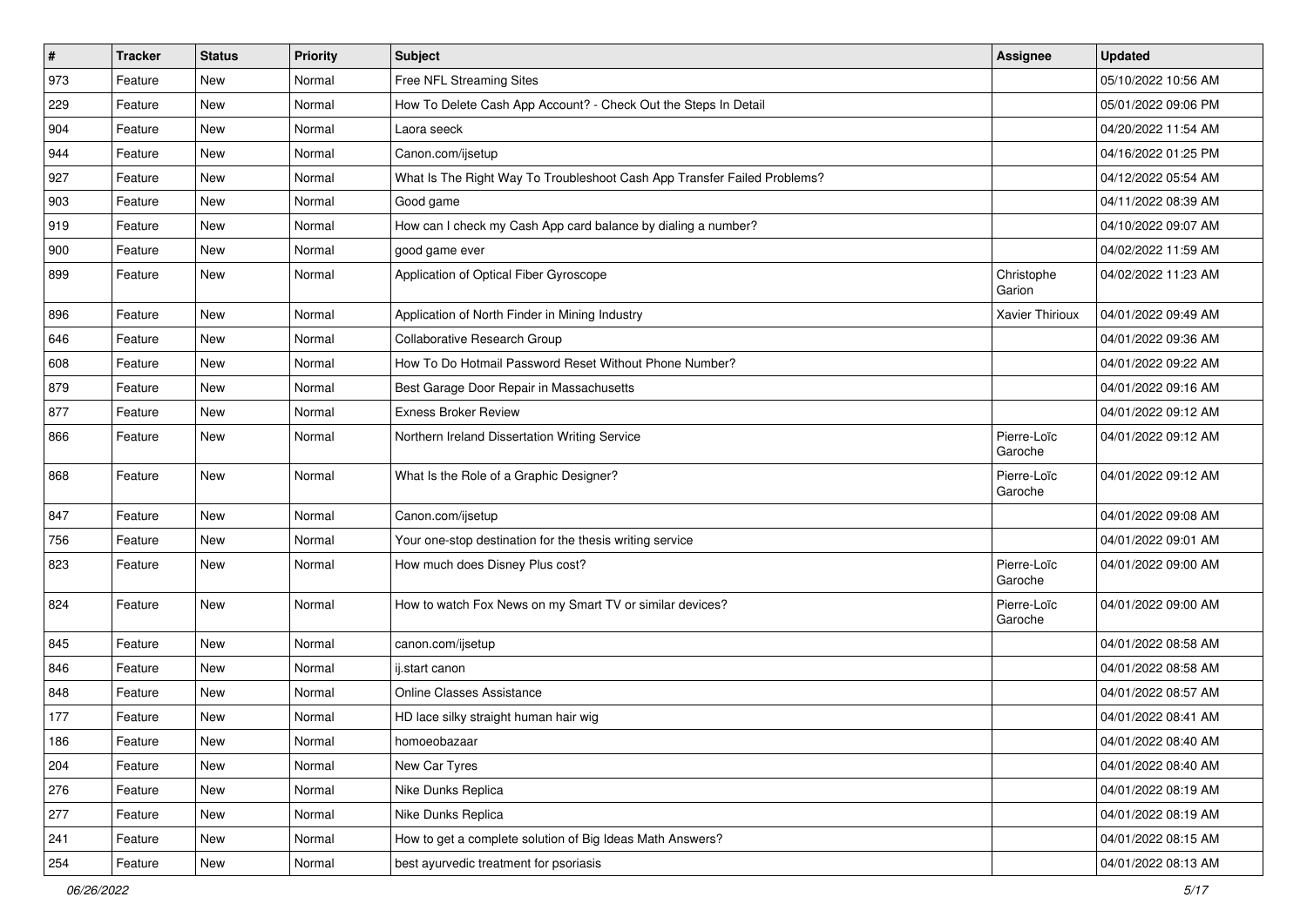| $\vert$ # | <b>Tracker</b> | <b>Status</b> | <b>Priority</b> | <b>Subject</b>                                                           | <b>Assignee</b>        | <b>Updated</b>      |
|-----------|----------------|---------------|-----------------|--------------------------------------------------------------------------|------------------------|---------------------|
| 973       | Feature        | New           | Normal          | Free NFL Streaming Sites                                                 |                        | 05/10/2022 10:56 AM |
| 229       | Feature        | <b>New</b>    | Normal          | How To Delete Cash App Account? - Check Out the Steps In Detail          |                        | 05/01/2022 09:06 PM |
| 904       | Feature        | <b>New</b>    | Normal          | Laora seeck                                                              |                        | 04/20/2022 11:54 AM |
| 944       | Feature        | <b>New</b>    | Normal          | Canon.com/ijsetup                                                        |                        | 04/16/2022 01:25 PM |
| 927       | Feature        | <b>New</b>    | Normal          | What Is The Right Way To Troubleshoot Cash App Transfer Failed Problems? |                        | 04/12/2022 05:54 AM |
| 903       | Feature        | New           | Normal          | Good game                                                                |                        | 04/11/2022 08:39 AM |
| 919       | Feature        | <b>New</b>    | Normal          | How can I check my Cash App card balance by dialing a number?            |                        | 04/10/2022 09:07 AM |
| 900       | Feature        | <b>New</b>    | Normal          | good game ever                                                           |                        | 04/02/2022 11:59 AM |
| 899       | Feature        | <b>New</b>    | Normal          | Application of Optical Fiber Gyroscope                                   | Christophe<br>Garion   | 04/02/2022 11:23 AM |
| 896       | Feature        | <b>New</b>    | Normal          | Application of North Finder in Mining Industry                           | Xavier Thirioux        | 04/01/2022 09:49 AM |
| 646       | Feature        | <b>New</b>    | Normal          | Collaborative Research Group                                             |                        | 04/01/2022 09:36 AM |
| 608       | Feature        | <b>New</b>    | Normal          | How To Do Hotmail Password Reset Without Phone Number?                   |                        | 04/01/2022 09:22 AM |
| 879       | Feature        | New           | Normal          | Best Garage Door Repair in Massachusetts                                 |                        | 04/01/2022 09:16 AM |
| 877       | Feature        | <b>New</b>    | Normal          | <b>Exness Broker Review</b>                                              |                        | 04/01/2022 09:12 AM |
| 866       | Feature        | New           | Normal          | Northern Ireland Dissertation Writing Service                            | Pierre-Loïc<br>Garoche | 04/01/2022 09:12 AM |
| 868       | Feature        | New           | Normal          | What Is the Role of a Graphic Designer?                                  | Pierre-Loïc<br>Garoche | 04/01/2022 09:12 AM |
| 847       | Feature        | <b>New</b>    | Normal          | Canon.com/ijsetup                                                        |                        | 04/01/2022 09:08 AM |
| 756       | Feature        | New           | Normal          | Your one-stop destination for the thesis writing service                 |                        | 04/01/2022 09:01 AM |
| 823       | Feature        | New           | Normal          | How much does Disney Plus cost?                                          | Pierre-Loïc<br>Garoche | 04/01/2022 09:00 AM |
| 824       | Feature        | <b>New</b>    | Normal          | How to watch Fox News on my Smart TV or similar devices?                 | Pierre-Loïc<br>Garoche | 04/01/2022 09:00 AM |
| 845       | Feature        | New           | Normal          | canon.com/ijsetup                                                        |                        | 04/01/2022 08:58 AM |
| 846       | Feature        | New           | Normal          | ij.start canon                                                           |                        | 04/01/2022 08:58 AM |
| 848       | Feature        | <b>New</b>    | Normal          | <b>Online Classes Assistance</b>                                         |                        | 04/01/2022 08:57 AM |
| 177       | Feature        | <b>New</b>    | Normal          | HD lace silky straight human hair wig                                    |                        | 04/01/2022 08:41 AM |
| 186       | Feature        | New           | Normal          | homoeobazaar                                                             |                        | 04/01/2022 08:40 AM |
| 204       | Feature        | <b>New</b>    | Normal          | New Car Tyres                                                            |                        | 04/01/2022 08:40 AM |
| 276       | Feature        | New           | Normal          | Nike Dunks Replica                                                       |                        | 04/01/2022 08:19 AM |
| 277       | Feature        | New           | Normal          | Nike Dunks Replica                                                       |                        | 04/01/2022 08:19 AM |
| 241       | Feature        | New           | Normal          | How to get a complete solution of Big Ideas Math Answers?                |                        | 04/01/2022 08:15 AM |
| 254       | Feature        | New           | Normal          | best ayurvedic treatment for psoriasis                                   |                        | 04/01/2022 08:13 AM |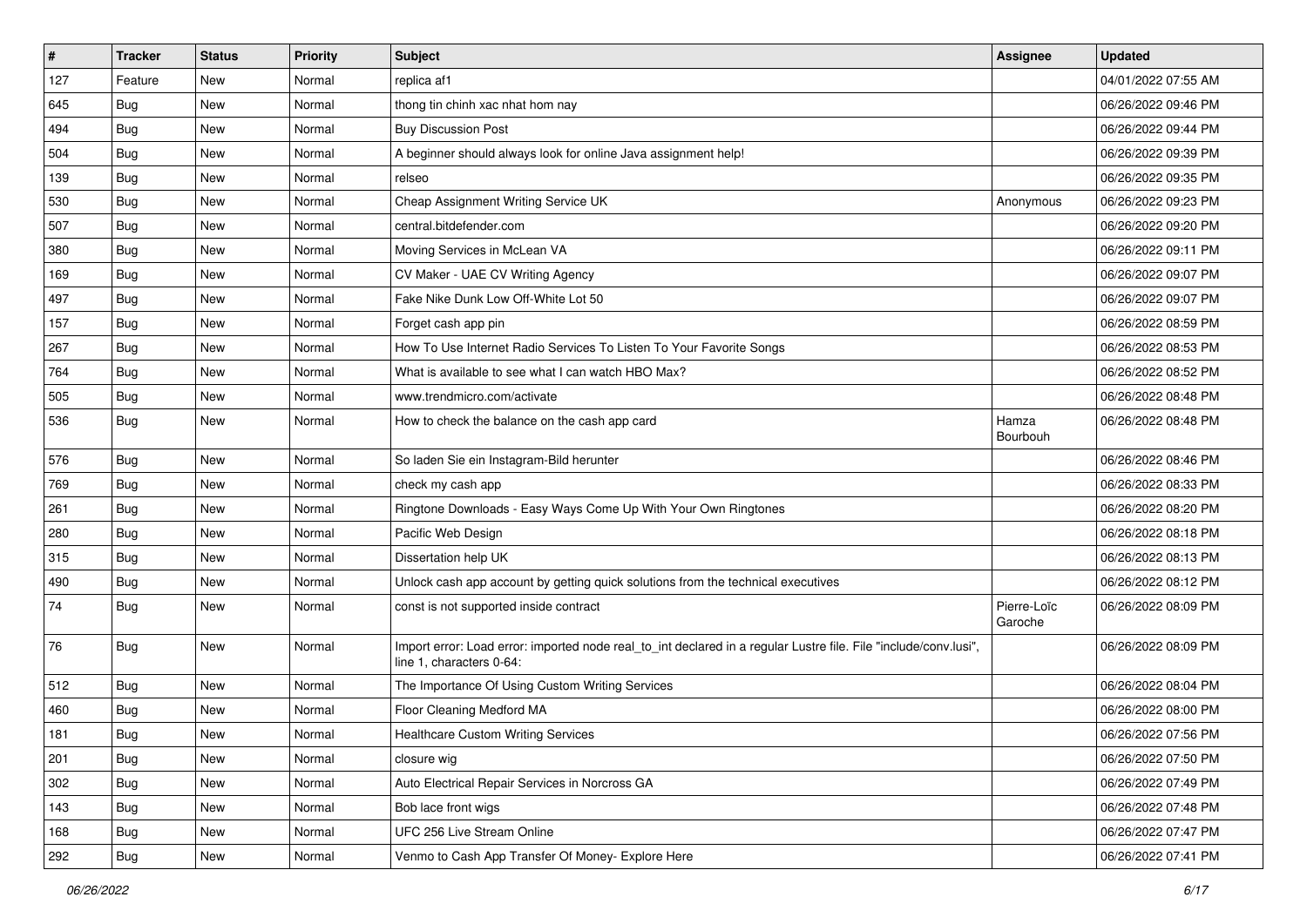| $\vert$ # | <b>Tracker</b> | <b>Status</b> | <b>Priority</b> | <b>Subject</b>                                                                                                                               | <b>Assignee</b>        | <b>Updated</b>      |
|-----------|----------------|---------------|-----------------|----------------------------------------------------------------------------------------------------------------------------------------------|------------------------|---------------------|
| 127       | Feature        | New           | Normal          | replica af1                                                                                                                                  |                        | 04/01/2022 07:55 AM |
| 645       | <b>Bug</b>     | <b>New</b>    | Normal          | thong tin chinh xac nhat hom nay                                                                                                             |                        | 06/26/2022 09:46 PM |
| 494       | Bug            | New           | Normal          | <b>Buy Discussion Post</b>                                                                                                                   |                        | 06/26/2022 09:44 PM |
| 504       | <b>Bug</b>     | <b>New</b>    | Normal          | A beginner should always look for online Java assignment help!                                                                               |                        | 06/26/2022 09:39 PM |
| 139       | <b>Bug</b>     | New           | Normal          | relseo                                                                                                                                       |                        | 06/26/2022 09:35 PM |
| 530       | <b>Bug</b>     | New           | Normal          | Cheap Assignment Writing Service UK                                                                                                          | Anonymous              | 06/26/2022 09:23 PM |
| 507       | Bug            | New           | Normal          | central.bitdefender.com                                                                                                                      |                        | 06/26/2022 09:20 PM |
| 380       | <b>Bug</b>     | New           | Normal          | Moving Services in McLean VA                                                                                                                 |                        | 06/26/2022 09:11 PM |
| 169       | <b>Bug</b>     | New           | Normal          | CV Maker - UAE CV Writing Agency                                                                                                             |                        | 06/26/2022 09:07 PM |
| 497       | Bug            | <b>New</b>    | Normal          | Fake Nike Dunk Low Off-White Lot 50                                                                                                          |                        | 06/26/2022 09:07 PM |
| 157       | <b>Bug</b>     | New           | Normal          | Forget cash app pin                                                                                                                          |                        | 06/26/2022 08:59 PM |
| 267       | Bug            | New           | Normal          | How To Use Internet Radio Services To Listen To Your Favorite Songs                                                                          |                        | 06/26/2022 08:53 PM |
| 764       | Bug            | New           | Normal          | What is available to see what I can watch HBO Max?                                                                                           |                        | 06/26/2022 08:52 PM |
| 505       | <b>Bug</b>     | New           | Normal          | www.trendmicro.com/activate                                                                                                                  |                        | 06/26/2022 08:48 PM |
| 536       | <b>Bug</b>     | <b>New</b>    | Normal          | How to check the balance on the cash app card                                                                                                | Hamza<br>Bourbouh      | 06/26/2022 08:48 PM |
| 576       | Bug            | <b>New</b>    | Normal          | So laden Sie ein Instagram-Bild herunter                                                                                                     |                        | 06/26/2022 08:46 PM |
| 769       | Bug            | New           | Normal          | check my cash app                                                                                                                            |                        | 06/26/2022 08:33 PM |
| 261       | Bug            | New           | Normal          | Ringtone Downloads - Easy Ways Come Up With Your Own Ringtones                                                                               |                        | 06/26/2022 08:20 PM |
| 280       | Bug            | New           | Normal          | Pacific Web Design                                                                                                                           |                        | 06/26/2022 08:18 PM |
| 315       | Bug            | New           | Normal          | Dissertation help UK                                                                                                                         |                        | 06/26/2022 08:13 PM |
| 490       | <b>Bug</b>     | New           | Normal          | Unlock cash app account by getting quick solutions from the technical executives                                                             |                        | 06/26/2022 08:12 PM |
| 74        | <b>Bug</b>     | <b>New</b>    | Normal          | const is not supported inside contract                                                                                                       | Pierre-Loïc<br>Garoche | 06/26/2022 08:09 PM |
| 76        | Bug            | <b>New</b>    | Normal          | Import error: Load error: imported node real_to_int declared in a regular Lustre file. File "include/conv.lusi",<br>line 1, characters 0-64: |                        | 06/26/2022 08:09 PM |
| 512       | Bug            | New           | Normal          | The Importance Of Using Custom Writing Services                                                                                              |                        | 06/26/2022 08:04 PM |
| 460       | <b>Bug</b>     | New           | Normal          | Floor Cleaning Medford MA                                                                                                                    |                        | 06/26/2022 08:00 PM |
| 181       | Bug            | New           | Normal          | Healthcare Custom Writing Services                                                                                                           |                        | 06/26/2022 07:56 PM |
| 201       | Bug            | New           | Normal          | closure wig                                                                                                                                  |                        | 06/26/2022 07:50 PM |
| 302       | Bug            | New           | Normal          | Auto Electrical Repair Services in Norcross GA                                                                                               |                        | 06/26/2022 07:49 PM |
| 143       | <b>Bug</b>     | New           | Normal          | Bob lace front wigs                                                                                                                          |                        | 06/26/2022 07:48 PM |
| 168       | Bug            | New           | Normal          | UFC 256 Live Stream Online                                                                                                                   |                        | 06/26/2022 07:47 PM |
| 292       | <b>Bug</b>     | New           | Normal          | Venmo to Cash App Transfer Of Money- Explore Here                                                                                            |                        | 06/26/2022 07:41 PM |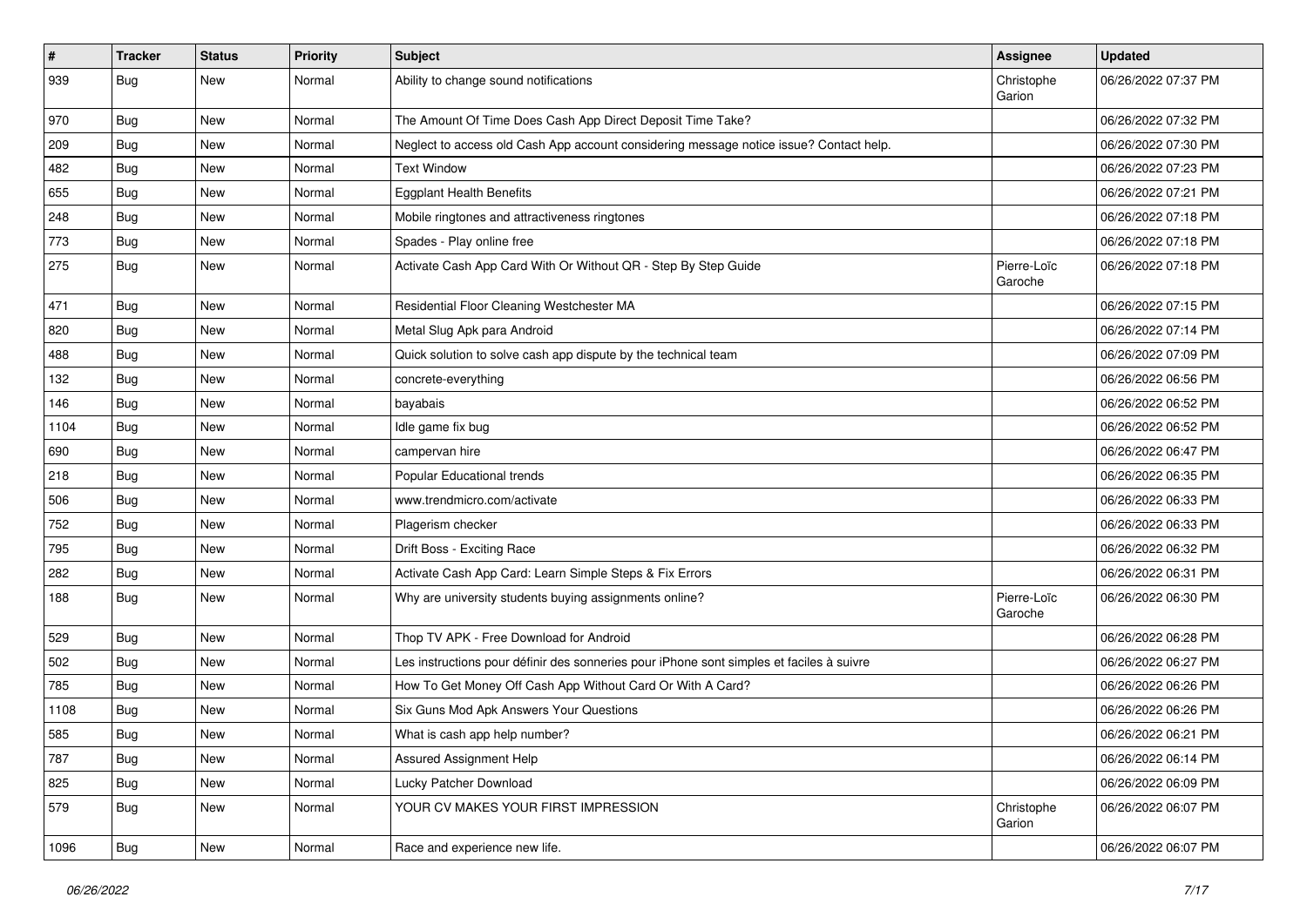| $\pmb{\sharp}$ | <b>Tracker</b> | <b>Status</b> | <b>Priority</b> | <b>Subject</b>                                                                           | <b>Assignee</b>        | <b>Updated</b>      |
|----------------|----------------|---------------|-----------------|------------------------------------------------------------------------------------------|------------------------|---------------------|
| 939            | Bug            | New           | Normal          | Ability to change sound notifications                                                    | Christophe<br>Garion   | 06/26/2022 07:37 PM |
| 970            | <b>Bug</b>     | New           | Normal          | The Amount Of Time Does Cash App Direct Deposit Time Take?                               |                        | 06/26/2022 07:32 PM |
| 209            | Bug            | New           | Normal          | Neglect to access old Cash App account considering message notice issue? Contact help.   |                        | 06/26/2022 07:30 PM |
| 482            | Bug            | <b>New</b>    | Normal          | <b>Text Window</b>                                                                       |                        | 06/26/2022 07:23 PM |
| 655            | <b>Bug</b>     | New           | Normal          | <b>Eggplant Health Benefits</b>                                                          |                        | 06/26/2022 07:21 PM |
| 248            | <b>Bug</b>     | <b>New</b>    | Normal          | Mobile ringtones and attractiveness ringtones                                            |                        | 06/26/2022 07:18 PM |
| 773            | <b>Bug</b>     | New           | Normal          | Spades - Play online free                                                                |                        | 06/26/2022 07:18 PM |
| 275            | Bug            | New           | Normal          | Activate Cash App Card With Or Without QR - Step By Step Guide                           | Pierre-Loïc<br>Garoche | 06/26/2022 07:18 PM |
| 471            | <b>Bug</b>     | New           | Normal          | Residential Floor Cleaning Westchester MA                                                |                        | 06/26/2022 07:15 PM |
| 820            | <b>Bug</b>     | New           | Normal          | Metal Slug Apk para Android                                                              |                        | 06/26/2022 07:14 PM |
| 488            | <b>Bug</b>     | New           | Normal          | Quick solution to solve cash app dispute by the technical team                           |                        | 06/26/2022 07:09 PM |
| 132            | <b>Bug</b>     | New           | Normal          | concrete-everything                                                                      |                        | 06/26/2022 06:56 PM |
| 146            | <b>Bug</b>     | <b>New</b>    | Normal          | bayabais                                                                                 |                        | 06/26/2022 06:52 PM |
| 1104           | Bug            | New           | Normal          | Idle game fix bug                                                                        |                        | 06/26/2022 06:52 PM |
| 690            | <b>Bug</b>     | New           | Normal          | campervan hire                                                                           |                        | 06/26/2022 06:47 PM |
| 218            | Bug            | New           | Normal          | Popular Educational trends                                                               |                        | 06/26/2022 06:35 PM |
| 506            | <b>Bug</b>     | New           | Normal          | www.trendmicro.com/activate                                                              |                        | 06/26/2022 06:33 PM |
| 752            | <b>Bug</b>     | New           | Normal          | Plagerism checker                                                                        |                        | 06/26/2022 06:33 PM |
| 795            | <b>Bug</b>     | New           | Normal          | Drift Boss - Exciting Race                                                               |                        | 06/26/2022 06:32 PM |
| 282            | <b>Bug</b>     | New           | Normal          | Activate Cash App Card: Learn Simple Steps & Fix Errors                                  |                        | 06/26/2022 06:31 PM |
| 188            | <b>Bug</b>     | New           | Normal          | Why are university students buying assignments online?                                   | Pierre-Loïc<br>Garoche | 06/26/2022 06:30 PM |
| 529            | Bug            | <b>New</b>    | Normal          | Thop TV APK - Free Download for Android                                                  |                        | 06/26/2022 06:28 PM |
| 502            | Bug            | New           | Normal          | Les instructions pour définir des sonneries pour iPhone sont simples et faciles à suivre |                        | 06/26/2022 06:27 PM |
| 785            | Bug            | New           | Normal          | How To Get Money Off Cash App Without Card Or With A Card?                               |                        | 06/26/2022 06:26 PM |
| 1108           | <b>Bug</b>     | New           | Normal          | Six Guns Mod Apk Answers Your Questions                                                  |                        | 06/26/2022 06:26 PM |
| 585            | Bug            | New           | Normal          | What is cash app help number?                                                            |                        | 06/26/2022 06:21 PM |
| 787            | Bug            | New           | Normal          | Assured Assignment Help                                                                  |                        | 06/26/2022 06:14 PM |
| 825            | <b>Bug</b>     | New           | Normal          | Lucky Patcher Download                                                                   |                        | 06/26/2022 06:09 PM |
| 579            | Bug            | New           | Normal          | YOUR CV MAKES YOUR FIRST IMPRESSION                                                      | Christophe<br>Garion   | 06/26/2022 06:07 PM |
| 1096           | <b>Bug</b>     | New           | Normal          | Race and experience new life.                                                            |                        | 06/26/2022 06:07 PM |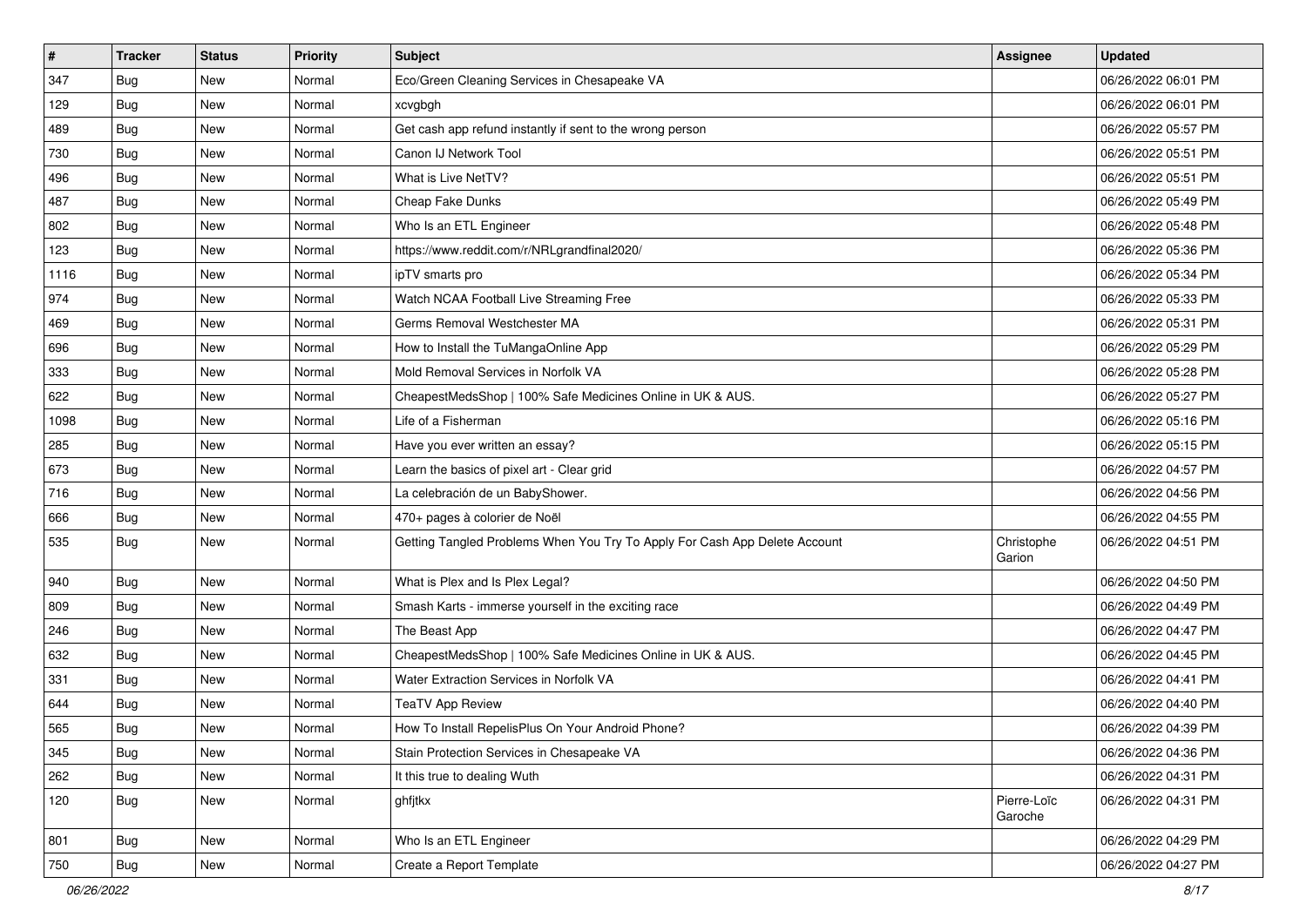| $\vert$ # | <b>Tracker</b> | <b>Status</b> | <b>Priority</b> | <b>Subject</b>                                                             | Assignee               | <b>Updated</b>      |
|-----------|----------------|---------------|-----------------|----------------------------------------------------------------------------|------------------------|---------------------|
| 347       | <b>Bug</b>     | New           | Normal          | Eco/Green Cleaning Services in Chesapeake VA                               |                        | 06/26/2022 06:01 PM |
| 129       | <b>Bug</b>     | <b>New</b>    | Normal          | xcvgbgh                                                                    |                        | 06/26/2022 06:01 PM |
| 489       | <b>Bug</b>     | New           | Normal          | Get cash app refund instantly if sent to the wrong person                  |                        | 06/26/2022 05:57 PM |
| 730       | <b>Bug</b>     | <b>New</b>    | Normal          | Canon IJ Network Tool                                                      |                        | 06/26/2022 05:51 PM |
| 496       | Bug            | New           | Normal          | What is Live NetTV?                                                        |                        | 06/26/2022 05:51 PM |
| 487       | <b>Bug</b>     | New           | Normal          | <b>Cheap Fake Dunks</b>                                                    |                        | 06/26/2022 05:49 PM |
| 802       | Bug            | New           | Normal          | Who Is an ETL Engineer                                                     |                        | 06/26/2022 05:48 PM |
| 123       | <b>Bug</b>     | New           | Normal          | https://www.reddit.com/r/NRLgrandfinal2020/                                |                        | 06/26/2022 05:36 PM |
| 1116      | <b>Bug</b>     | New           | Normal          | ipTV smarts pro                                                            |                        | 06/26/2022 05:34 PM |
| 974       | <b>Bug</b>     | New           | Normal          | Watch NCAA Football Live Streaming Free                                    |                        | 06/26/2022 05:33 PM |
| 469       | <b>Bug</b>     | New           | Normal          | Germs Removal Westchester MA                                               |                        | 06/26/2022 05:31 PM |
| 696       | Bug            | New           | Normal          | How to Install the TuMangaOnline App                                       |                        | 06/26/2022 05:29 PM |
| 333       | Bug            | New           | Normal          | Mold Removal Services in Norfolk VA                                        |                        | 06/26/2022 05:28 PM |
| 622       | Bug            | New           | Normal          | CheapestMedsShop   100% Safe Medicines Online in UK & AUS.                 |                        | 06/26/2022 05:27 PM |
| 1098      | Bug            | New           | Normal          | Life of a Fisherman                                                        |                        | 06/26/2022 05:16 PM |
| 285       | <b>Bug</b>     | New           | Normal          | Have you ever written an essay?                                            |                        | 06/26/2022 05:15 PM |
| 673       | <b>Bug</b>     | New           | Normal          | Learn the basics of pixel art - Clear grid                                 |                        | 06/26/2022 04:57 PM |
| 716       | Bug            | New           | Normal          | La celebración de un BabyShower.                                           |                        | 06/26/2022 04:56 PM |
| 666       | Bug            | New           | Normal          | 470+ pages à colorier de Noël                                              |                        | 06/26/2022 04:55 PM |
| 535       | <b>Bug</b>     | <b>New</b>    | Normal          | Getting Tangled Problems When You Try To Apply For Cash App Delete Account | Christophe<br>Garion   | 06/26/2022 04:51 PM |
| 940       | Bug            | <b>New</b>    | Normal          | What is Plex and Is Plex Legal?                                            |                        | 06/26/2022 04:50 PM |
| 809       | Bug            | <b>New</b>    | Normal          | Smash Karts - immerse yourself in the exciting race                        |                        | 06/26/2022 04:49 PM |
| 246       | <b>Bug</b>     | New           | Normal          | The Beast App                                                              |                        | 06/26/2022 04:47 PM |
| 632       | <b>Bug</b>     | <b>New</b>    | Normal          | CheapestMedsShop   100% Safe Medicines Online in UK & AUS.                 |                        | 06/26/2022 04:45 PM |
| 331       | Bug            | New           | Normal          | Water Extraction Services in Norfolk VA                                    |                        | 06/26/2022 04:41 PM |
| 644       | <b>Bug</b>     | New           | Normal          | <b>TeaTV App Review</b>                                                    |                        | 06/26/2022 04:40 PM |
| 565       | Bug            | <b>New</b>    | Normal          | How To Install RepelisPlus On Your Android Phone?                          |                        | 06/26/2022 04:39 PM |
| 345       | <b>Bug</b>     | New           | Normal          | Stain Protection Services in Chesapeake VA                                 |                        | 06/26/2022 04:36 PM |
| 262       | Bug            | New           | Normal          | It this true to dealing Wuth                                               |                        | 06/26/2022 04:31 PM |
| 120       | <b>Bug</b>     | New           | Normal          | ghfjtkx                                                                    | Pierre-Loïc<br>Garoche | 06/26/2022 04:31 PM |
| 801       | Bug            | New           | Normal          | Who Is an ETL Engineer                                                     |                        | 06/26/2022 04:29 PM |
| 750       | <b>Bug</b>     | New           | Normal          | Create a Report Template                                                   |                        | 06/26/2022 04:27 PM |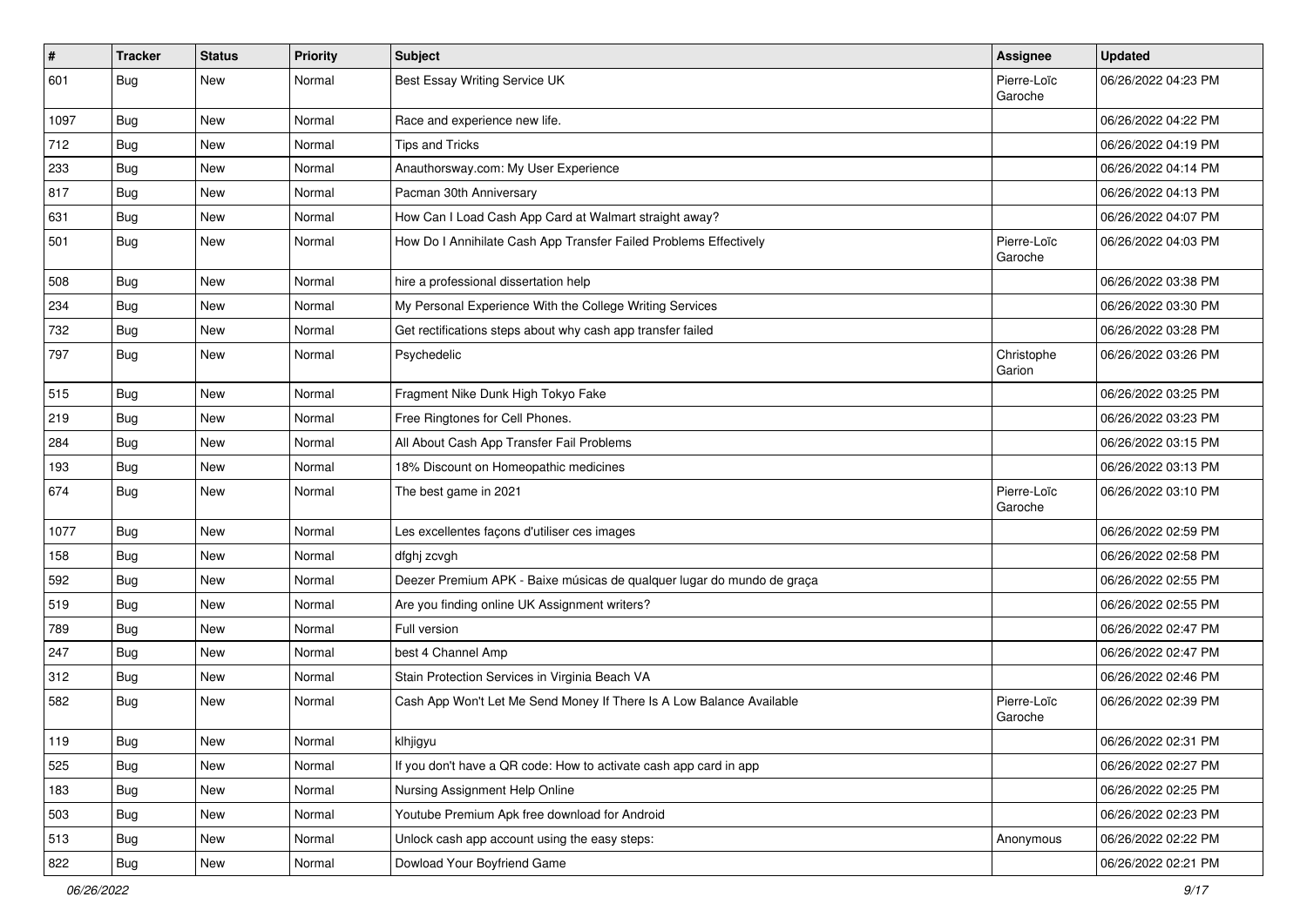| $\pmb{\#}$ | <b>Tracker</b> | <b>Status</b> | Priority | <b>Subject</b>                                                         | Assignee               | <b>Updated</b>      |
|------------|----------------|---------------|----------|------------------------------------------------------------------------|------------------------|---------------------|
| 601        | Bug            | New           | Normal   | Best Essay Writing Service UK                                          | Pierre-Loïc<br>Garoche | 06/26/2022 04:23 PM |
| 1097       | Bug            | New           | Normal   | Race and experience new life.                                          |                        | 06/26/2022 04:22 PM |
| 712        | Bug            | New           | Normal   | <b>Tips and Tricks</b>                                                 |                        | 06/26/2022 04:19 PM |
| 233        | Bug            | <b>New</b>    | Normal   | Anauthorsway.com: My User Experience                                   |                        | 06/26/2022 04:14 PM |
| 817        | Bug            | New           | Normal   | Pacman 30th Anniversary                                                |                        | 06/26/2022 04:13 PM |
| 631        | Bug            | New           | Normal   | How Can I Load Cash App Card at Walmart straight away?                 |                        | 06/26/2022 04:07 PM |
| 501        | Bug            | <b>New</b>    | Normal   | How Do I Annihilate Cash App Transfer Failed Problems Effectively      | Pierre-Loïc<br>Garoche | 06/26/2022 04:03 PM |
| 508        | Bug            | <b>New</b>    | Normal   | hire a professional dissertation help                                  |                        | 06/26/2022 03:38 PM |
| 234        | <b>Bug</b>     | New           | Normal   | My Personal Experience With the College Writing Services               |                        | 06/26/2022 03:30 PM |
| 732        | Bug            | New           | Normal   | Get rectifications steps about why cash app transfer failed            |                        | 06/26/2022 03:28 PM |
| 797        | Bug            | <b>New</b>    | Normal   | Psychedelic                                                            | Christophe<br>Garion   | 06/26/2022 03:26 PM |
| 515        | Bug            | <b>New</b>    | Normal   | Fragment Nike Dunk High Tokyo Fake                                     |                        | 06/26/2022 03:25 PM |
| 219        | Bug            | New           | Normal   | Free Ringtones for Cell Phones.                                        |                        | 06/26/2022 03:23 PM |
| 284        | Bug            | New           | Normal   | All About Cash App Transfer Fail Problems                              |                        | 06/26/2022 03:15 PM |
| 193        | Bug            | <b>New</b>    | Normal   | 18% Discount on Homeopathic medicines                                  |                        | 06/26/2022 03:13 PM |
| 674        | <b>Bug</b>     | New           | Normal   | The best game in 2021                                                  | Pierre-Loïc<br>Garoche | 06/26/2022 03:10 PM |
| 1077       | <b>Bug</b>     | <b>New</b>    | Normal   | Les excellentes façons d'utiliser ces images                           |                        | 06/26/2022 02:59 PM |
| 158        | Bug            | New           | Normal   | dfghj zcvgh                                                            |                        | 06/26/2022 02:58 PM |
| 592        | Bug            | New           | Normal   | Deezer Premium APK - Baixe músicas de qualquer lugar do mundo de graça |                        | 06/26/2022 02:55 PM |
| 519        | <b>Bug</b>     | New           | Normal   | Are you finding online UK Assignment writers?                          |                        | 06/26/2022 02:55 PM |
| 789        | Bug            | New           | Normal   | Full version                                                           |                        | 06/26/2022 02:47 PM |
| 247        | Bug            | <b>New</b>    | Normal   | best 4 Channel Amp                                                     |                        | 06/26/2022 02:47 PM |
| 312        | <b>Bug</b>     | New           | Normal   | Stain Protection Services in Virginia Beach VA                         |                        | 06/26/2022 02:46 PM |
| 582        | <b>Bug</b>     | New           | Normal   | Cash App Won't Let Me Send Money If There Is A Low Balance Available   | Pierre-Loïc<br>Garoche | 06/26/2022 02:39 PM |
| 119        | <b>Bug</b>     | New           | Normal   | klhjigyu                                                               |                        | 06/26/2022 02:31 PM |
| 525        | <b>Bug</b>     | <b>New</b>    | Normal   | If you don't have a QR code: How to activate cash app card in app      |                        | 06/26/2022 02:27 PM |
| 183        | <b>Bug</b>     | New           | Normal   | Nursing Assignment Help Online                                         |                        | 06/26/2022 02:25 PM |
| 503        | <b>Bug</b>     | New           | Normal   | Youtube Premium Apk free download for Android                          |                        | 06/26/2022 02:23 PM |
| 513        | <b>Bug</b>     | New           | Normal   | Unlock cash app account using the easy steps:                          | Anonymous              | 06/26/2022 02:22 PM |
| 822        | <b>Bug</b>     | New           | Normal   | Dowload Your Boyfriend Game                                            |                        | 06/26/2022 02:21 PM |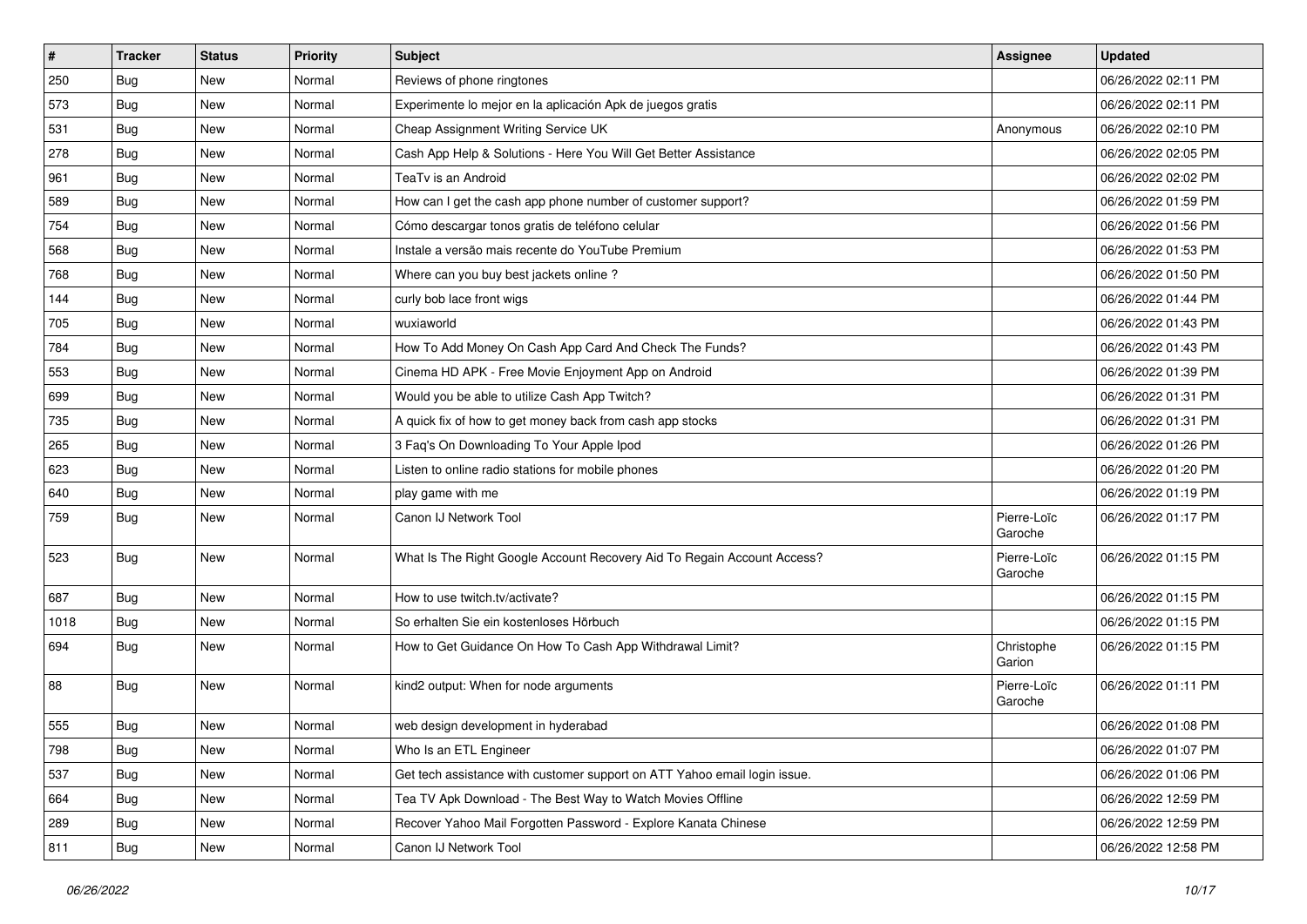| $\pmb{\#}$ | <b>Tracker</b> | <b>Status</b> | <b>Priority</b> | <b>Subject</b>                                                            | Assignee               | <b>Updated</b>      |
|------------|----------------|---------------|-----------------|---------------------------------------------------------------------------|------------------------|---------------------|
| 250        | <b>Bug</b>     | New           | Normal          | Reviews of phone ringtones                                                |                        | 06/26/2022 02:11 PM |
| 573        | Bug            | <b>New</b>    | Normal          | Experimente lo mejor en la aplicación Apk de juegos gratis                |                        | 06/26/2022 02:11 PM |
| 531        | Bug            | New           | Normal          | Cheap Assignment Writing Service UK                                       | Anonymous              | 06/26/2022 02:10 PM |
| 278        | <b>Bug</b>     | New           | Normal          | Cash App Help & Solutions - Here You Will Get Better Assistance           |                        | 06/26/2022 02:05 PM |
| 961        | Bug            | <b>New</b>    | Normal          | TeaTv is an Android                                                       |                        | 06/26/2022 02:02 PM |
| 589        | <b>Bug</b>     | New           | Normal          | How can I get the cash app phone number of customer support?              |                        | 06/26/2022 01:59 PM |
| 754        | Bug            | <b>New</b>    | Normal          | Cómo descargar tonos gratis de teléfono celular                           |                        | 06/26/2022 01:56 PM |
| 568        | Bug            | New           | Normal          | Instale a versão mais recente do YouTube Premium                          |                        | 06/26/2022 01:53 PM |
| 768        | <b>Bug</b>     | New           | Normal          | Where can you buy best jackets online?                                    |                        | 06/26/2022 01:50 PM |
| 144        | Bug            | <b>New</b>    | Normal          | curly bob lace front wigs                                                 |                        | 06/26/2022 01:44 PM |
| 705        | <b>Bug</b>     | New           | Normal          | wuxiaworld                                                                |                        | 06/26/2022 01:43 PM |
| 784        | <b>Bug</b>     | New           | Normal          | How To Add Money On Cash App Card And Check The Funds?                    |                        | 06/26/2022 01:43 PM |
| 553        | Bug            | New           | Normal          | Cinema HD APK - Free Movie Enjoyment App on Android                       |                        | 06/26/2022 01:39 PM |
| 699        | Bug            | New           | Normal          | Would you be able to utilize Cash App Twitch?                             |                        | 06/26/2022 01:31 PM |
| 735        | Bug            | <b>New</b>    | Normal          | A quick fix of how to get money back from cash app stocks                 |                        | 06/26/2022 01:31 PM |
| 265        | Bug            | New           | Normal          | 3 Faq's On Downloading To Your Apple Ipod                                 |                        | 06/26/2022 01:26 PM |
| 623        | <b>Bug</b>     | New           | Normal          | Listen to online radio stations for mobile phones                         |                        | 06/26/2022 01:20 PM |
| 640        | Bug            | <b>New</b>    | Normal          | play game with me                                                         |                        | 06/26/2022 01:19 PM |
| 759        | <b>Bug</b>     | New           | Normal          | Canon IJ Network Tool                                                     | Pierre-Loïc<br>Garoche | 06/26/2022 01:17 PM |
| 523        | <b>Bug</b>     | New           | Normal          | What Is The Right Google Account Recovery Aid To Regain Account Access?   | Pierre-Loïc<br>Garoche | 06/26/2022 01:15 PM |
| 687        | Bug            | New           | Normal          | How to use twitch.tv/activate?                                            |                        | 06/26/2022 01:15 PM |
| 1018       | Bug            | New           | Normal          | So erhalten Sie ein kostenloses Hörbuch                                   |                        | 06/26/2022 01:15 PM |
| 694        | <b>Bug</b>     | New           | Normal          | How to Get Guidance On How To Cash App Withdrawal Limit?                  | Christophe<br>Garion   | 06/26/2022 01:15 PM |
| 88         | <b>Bug</b>     | New           | Normal          | kind2 output: When for node arguments                                     | Pierre-Loïc<br>Garoche | 06/26/2022 01:11 PM |
| 555        | <b>Bug</b>     | <b>New</b>    | Normal          | web design development in hyderabad                                       |                        | 06/26/2022 01:08 PM |
| 798        | <b>Bug</b>     | New           | Normal          | Who Is an ETL Engineer                                                    |                        | 06/26/2022 01:07 PM |
| 537        | Bug            | New           | Normal          | Get tech assistance with customer support on ATT Yahoo email login issue. |                        | 06/26/2022 01:06 PM |
| 664        | Bug            | New           | Normal          | Tea TV Apk Download - The Best Way to Watch Movies Offline                |                        | 06/26/2022 12:59 PM |
| 289        | <b>Bug</b>     | New           | Normal          | Recover Yahoo Mail Forgotten Password - Explore Kanata Chinese            |                        | 06/26/2022 12:59 PM |
| 811        | Bug            | New           | Normal          | Canon IJ Network Tool                                                     |                        | 06/26/2022 12:58 PM |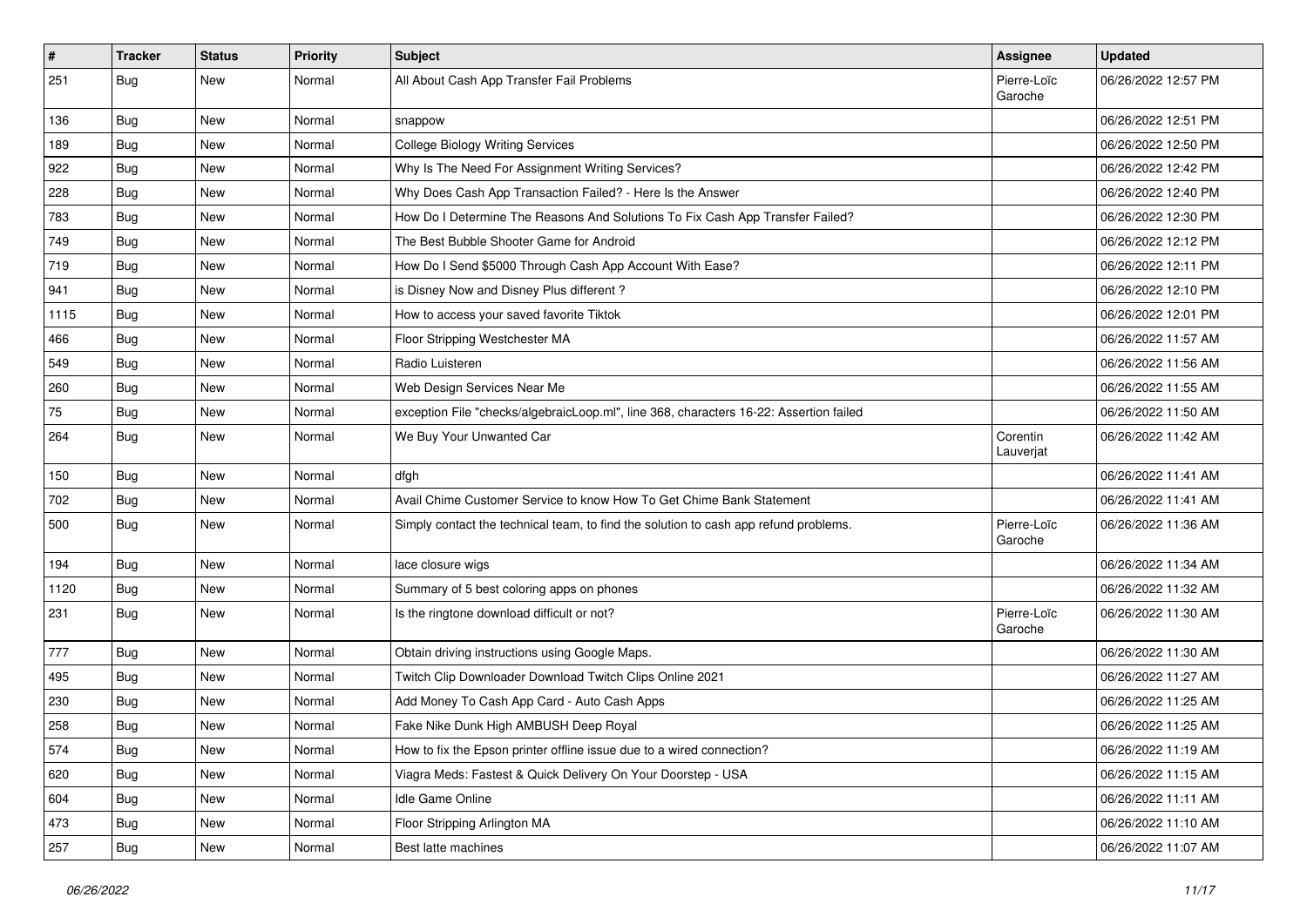| #    | <b>Tracker</b> | <b>Status</b> | <b>Priority</b> | <b>Subject</b>                                                                         | Assignee               | <b>Updated</b>      |
|------|----------------|---------------|-----------------|----------------------------------------------------------------------------------------|------------------------|---------------------|
| 251  | <b>Bug</b>     | New           | Normal          | All About Cash App Transfer Fail Problems                                              | Pierre-Loïc<br>Garoche | 06/26/2022 12:57 PM |
| 136  | <b>Bug</b>     | New           | Normal          | snappow                                                                                |                        | 06/26/2022 12:51 PM |
| 189  | Bug            | New           | Normal          | <b>College Biology Writing Services</b>                                                |                        | 06/26/2022 12:50 PM |
| 922  | Bug            | New           | Normal          | Why Is The Need For Assignment Writing Services?                                       |                        | 06/26/2022 12:42 PM |
| 228  | Bug            | New           | Normal          | Why Does Cash App Transaction Failed? - Here Is the Answer                             |                        | 06/26/2022 12:40 PM |
| 783  | Bug            | New           | Normal          | How Do I Determine The Reasons And Solutions To Fix Cash App Transfer Failed?          |                        | 06/26/2022 12:30 PM |
| 749  | Bug            | New           | Normal          | The Best Bubble Shooter Game for Android                                               |                        | 06/26/2022 12:12 PM |
| 719  | Bug            | New           | Normal          | How Do I Send \$5000 Through Cash App Account With Ease?                               |                        | 06/26/2022 12:11 PM |
| 941  | Bug            | New           | Normal          | is Disney Now and Disney Plus different?                                               |                        | 06/26/2022 12:10 PM |
| 1115 | <b>Bug</b>     | New           | Normal          | How to access your saved favorite Tiktok                                               |                        | 06/26/2022 12:01 PM |
| 466  | Bug            | New           | Normal          | Floor Stripping Westchester MA                                                         |                        | 06/26/2022 11:57 AM |
| 549  | <b>Bug</b>     | New           | Normal          | Radio Luisteren                                                                        |                        | 06/26/2022 11:56 AM |
| 260  | <b>Bug</b>     | <b>New</b>    | Normal          | Web Design Services Near Me                                                            |                        | 06/26/2022 11:55 AM |
| 75   | Bug            | New           | Normal          | exception File "checks/algebraicLoop.ml", line 368, characters 16-22: Assertion failed |                        | 06/26/2022 11:50 AM |
| 264  | <b>Bug</b>     | New           | Normal          | We Buy Your Unwanted Car                                                               | Corentin<br>Lauverjat  | 06/26/2022 11:42 AM |
| 150  | <b>Bug</b>     | New           | Normal          | dfgh                                                                                   |                        | 06/26/2022 11:41 AM |
| 702  | Bug            | New           | Normal          | Avail Chime Customer Service to know How To Get Chime Bank Statement                   |                        | 06/26/2022 11:41 AM |
| 500  | <b>Bug</b>     | New           | Normal          | Simply contact the technical team, to find the solution to cash app refund problems.   | Pierre-Loïc<br>Garoche | 06/26/2022 11:36 AM |
| 194  | Bug            | New           | Normal          | lace closure wigs                                                                      |                        | 06/26/2022 11:34 AM |
| 1120 | Bug            | New           | Normal          | Summary of 5 best coloring apps on phones                                              |                        | 06/26/2022 11:32 AM |
| 231  | <b>Bug</b>     | New           | Normal          | Is the ringtone download difficult or not?                                             | Pierre-Loïc<br>Garoche | 06/26/2022 11:30 AM |
| 777  | Bug            | New           | Normal          | Obtain driving instructions using Google Maps.                                         |                        | 06/26/2022 11:30 AM |
| 495  | <b>Bug</b>     | New           | Normal          | Twitch Clip Downloader Download Twitch Clips Online 2021                               |                        | 06/26/2022 11:27 AM |
| 230  | <b>Bug</b>     | New           | Normal          | Add Money To Cash App Card - Auto Cash Apps                                            |                        | 06/26/2022 11:25 AM |
| 258  | <b>Bug</b>     | New           | Normal          | Fake Nike Dunk High AMBUSH Deep Royal                                                  |                        | 06/26/2022 11:25 AM |
| 574  | <b>Bug</b>     | New           | Normal          | How to fix the Epson printer offline issue due to a wired connection?                  |                        | 06/26/2022 11:19 AM |
| 620  | Bug            | New           | Normal          | Viagra Meds: Fastest & Quick Delivery On Your Doorstep - USA                           |                        | 06/26/2022 11:15 AM |
| 604  | <b>Bug</b>     | New           | Normal          | Idle Game Online                                                                       |                        | 06/26/2022 11:11 AM |
| 473  | Bug            | New           | Normal          | Floor Stripping Arlington MA                                                           |                        | 06/26/2022 11:10 AM |
| 257  | Bug            | New           | Normal          | Best latte machines                                                                    |                        | 06/26/2022 11:07 AM |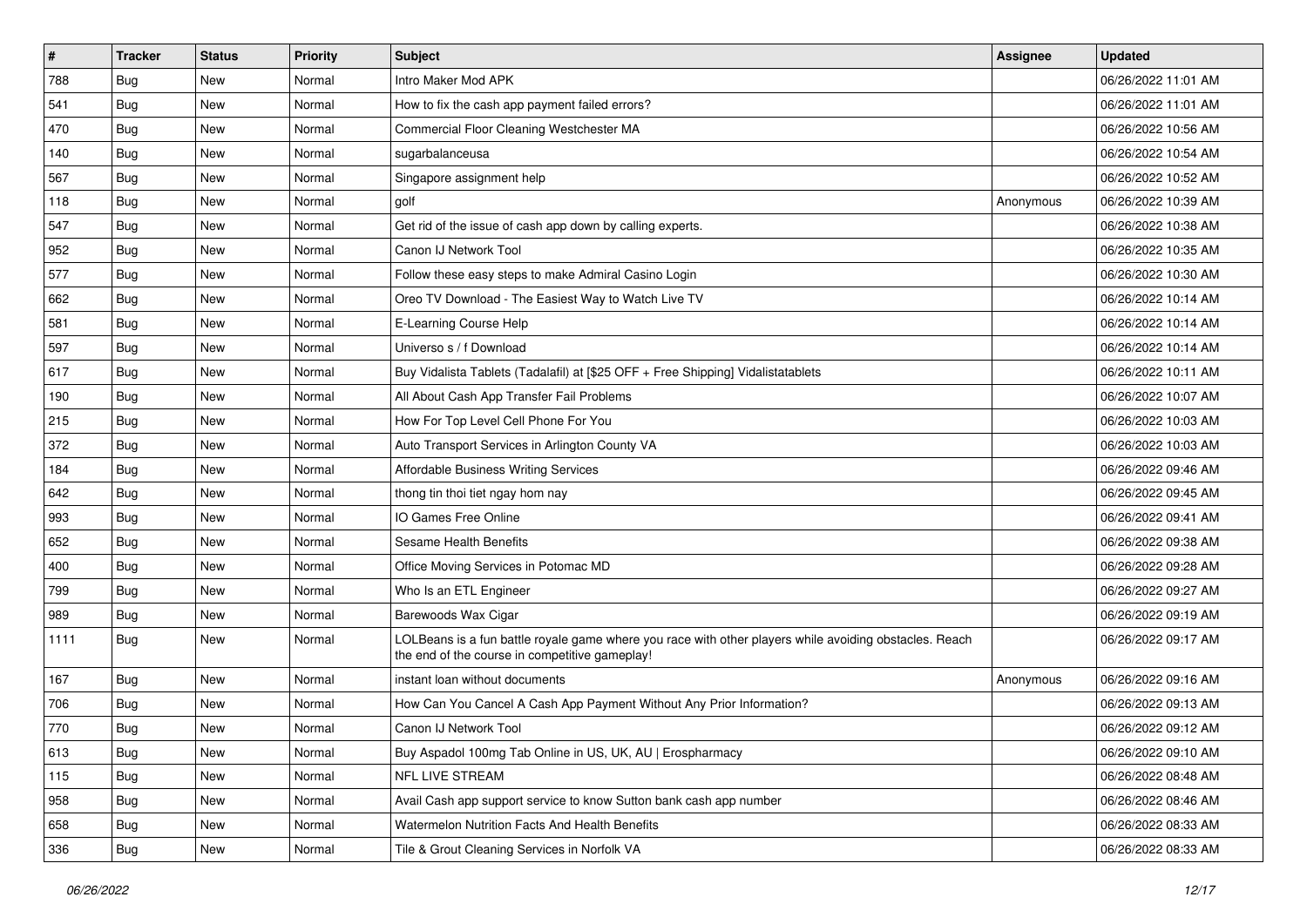| $\pmb{\#}$ | Tracker    | <b>Status</b> | <b>Priority</b> | <b>Subject</b>                                                                                                                                           | Assignee  | <b>Updated</b>      |
|------------|------------|---------------|-----------------|----------------------------------------------------------------------------------------------------------------------------------------------------------|-----------|---------------------|
| 788        | <b>Bug</b> | New           | Normal          | Intro Maker Mod APK                                                                                                                                      |           | 06/26/2022 11:01 AM |
| 541        | Bug        | <b>New</b>    | Normal          | How to fix the cash app payment failed errors?                                                                                                           |           | 06/26/2022 11:01 AM |
| 470        | Bug        | New           | Normal          | Commercial Floor Cleaning Westchester MA                                                                                                                 |           | 06/26/2022 10:56 AM |
| 140        | Bug        | New           | Normal          | sugarbalanceusa                                                                                                                                          |           | 06/26/2022 10:54 AM |
| 567        | Bug        | New           | Normal          | Singapore assignment help                                                                                                                                |           | 06/26/2022 10:52 AM |
| 118        | Bug        | New           | Normal          | golf                                                                                                                                                     | Anonymous | 06/26/2022 10:39 AM |
| 547        | <b>Bug</b> | <b>New</b>    | Normal          | Get rid of the issue of cash app down by calling experts.                                                                                                |           | 06/26/2022 10:38 AM |
| 952        | <b>Bug</b> | New           | Normal          | Canon IJ Network Tool                                                                                                                                    |           | 06/26/2022 10:35 AM |
| 577        | Bug        | New           | Normal          | Follow these easy steps to make Admiral Casino Login                                                                                                     |           | 06/26/2022 10:30 AM |
| 662        | Bug        | <b>New</b>    | Normal          | Oreo TV Download - The Easiest Way to Watch Live TV                                                                                                      |           | 06/26/2022 10:14 AM |
| 581        | Bug        | New           | Normal          | E-Learning Course Help                                                                                                                                   |           | 06/26/2022 10:14 AM |
| 597        | <b>Bug</b> | New           | Normal          | Universo s / f Download                                                                                                                                  |           | 06/26/2022 10:14 AM |
| 617        | Bug        | New           | Normal          | Buy Vidalista Tablets (Tadalafil) at [\$25 OFF + Free Shipping] Vidalistatablets                                                                         |           | 06/26/2022 10:11 AM |
| 190        | <b>Bug</b> | New           | Normal          | All About Cash App Transfer Fail Problems                                                                                                                |           | 06/26/2022 10:07 AM |
| 215        | Bug        | <b>New</b>    | Normal          | How For Top Level Cell Phone For You                                                                                                                     |           | 06/26/2022 10:03 AM |
| 372        | Bug        | New           | Normal          | Auto Transport Services in Arlington County VA                                                                                                           |           | 06/26/2022 10:03 AM |
| 184        | Bug        | New           | Normal          | <b>Affordable Business Writing Services</b>                                                                                                              |           | 06/26/2022 09:46 AM |
| 642        | Bug        | New           | Normal          | thong tin thoi tiet ngay hom nay                                                                                                                         |           | 06/26/2022 09:45 AM |
| 993        | <b>Bug</b> | New           | Normal          | IO Games Free Online                                                                                                                                     |           | 06/26/2022 09:41 AM |
| 652        | Bug        | New           | Normal          | Sesame Health Benefits                                                                                                                                   |           | 06/26/2022 09:38 AM |
| 400        | <b>Bug</b> | New           | Normal          | Office Moving Services in Potomac MD                                                                                                                     |           | 06/26/2022 09:28 AM |
| 799        | <b>Bug</b> | New           | Normal          | Who Is an ETL Engineer                                                                                                                                   |           | 06/26/2022 09:27 AM |
| 989        | Bug        | New           | Normal          | Barewoods Wax Cigar                                                                                                                                      |           | 06/26/2022 09:19 AM |
| 1111       | <b>Bug</b> | New           | Normal          | LOLBeans is a fun battle royale game where you race with other players while avoiding obstacles. Reach<br>the end of the course in competitive gameplay! |           | 06/26/2022 09:17 AM |
| 167        | Bug        | New           | Normal          | instant loan without documents                                                                                                                           | Anonymous | 06/26/2022 09:16 AM |
| 706        | <b>Bug</b> | <b>New</b>    | Normal          | How Can You Cancel A Cash App Payment Without Any Prior Information?                                                                                     |           | 06/26/2022 09:13 AM |
| 770        | <b>Bug</b> | New           | Normal          | Canon IJ Network Tool                                                                                                                                    |           | 06/26/2022 09:12 AM |
| 613        | Bug        | New           | Normal          | Buy Aspadol 100mg Tab Online in US, UK, AU   Erospharmacy                                                                                                |           | 06/26/2022 09:10 AM |
| 115        | Bug        | New           | Normal          | NFL LIVE STREAM                                                                                                                                          |           | 06/26/2022 08:48 AM |
| 958        | <b>Bug</b> | New           | Normal          | Avail Cash app support service to know Sutton bank cash app number                                                                                       |           | 06/26/2022 08:46 AM |
| 658        | <b>Bug</b> | New           | Normal          | Watermelon Nutrition Facts And Health Benefits                                                                                                           |           | 06/26/2022 08:33 AM |
| 336        | <b>Bug</b> | New           | Normal          | Tile & Grout Cleaning Services in Norfolk VA                                                                                                             |           | 06/26/2022 08:33 AM |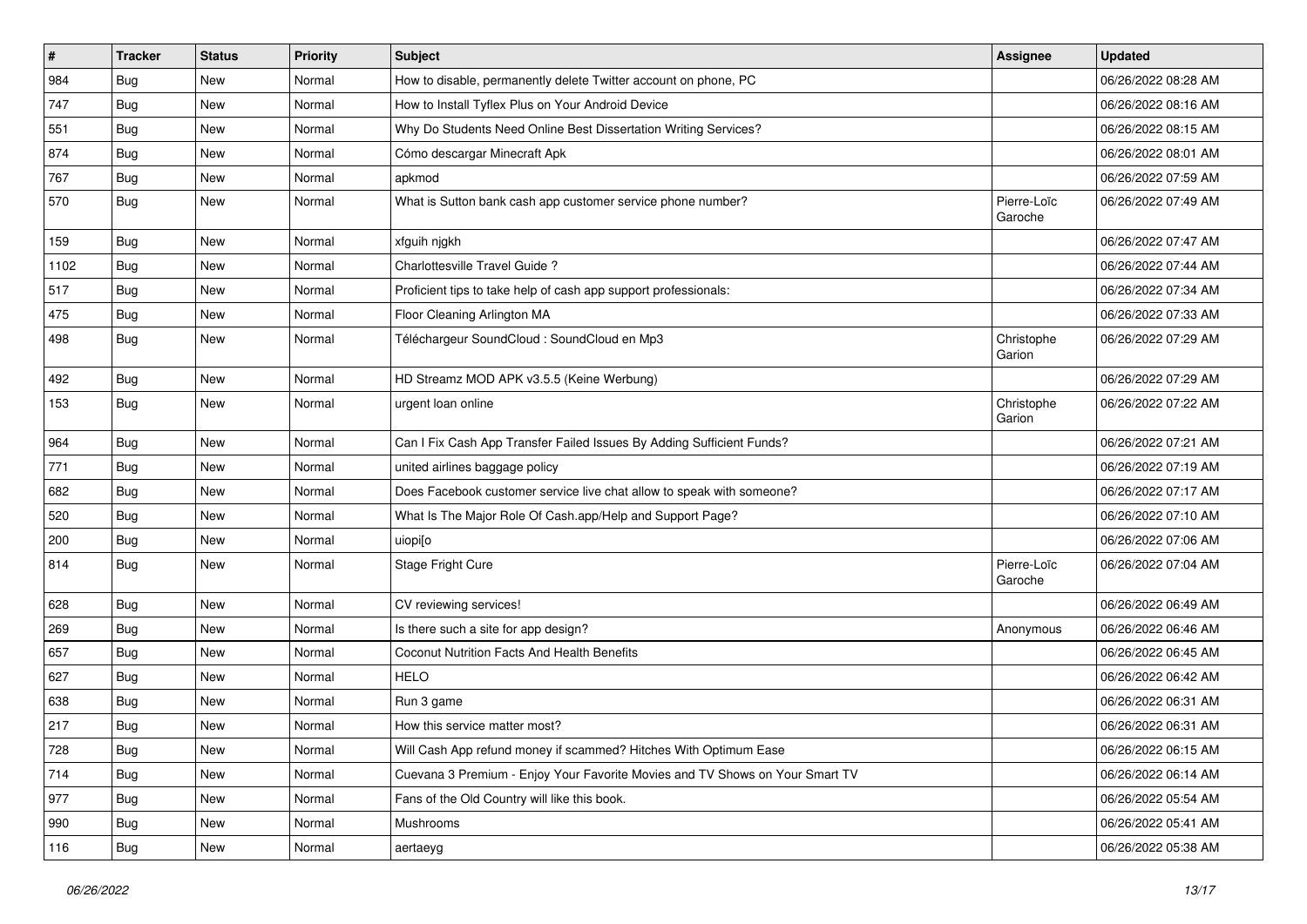| $\pmb{\#}$ | <b>Tracker</b> | <b>Status</b> | <b>Priority</b> | <b>Subject</b>                                                               | <b>Assignee</b>        | <b>Updated</b>      |
|------------|----------------|---------------|-----------------|------------------------------------------------------------------------------|------------------------|---------------------|
| 984        | <b>Bug</b>     | New           | Normal          | How to disable, permanently delete Twitter account on phone, PC              |                        | 06/26/2022 08:28 AM |
| 747        | Bug            | <b>New</b>    | Normal          | How to Install Tyflex Plus on Your Android Device                            |                        | 06/26/2022 08:16 AM |
| 551        | <b>Bug</b>     | New           | Normal          | Why Do Students Need Online Best Dissertation Writing Services?              |                        | 06/26/2022 08:15 AM |
| 874        | <b>Bug</b>     | New           | Normal          | Cómo descargar Minecraft Apk                                                 |                        | 06/26/2022 08:01 AM |
| 767        | <b>Bug</b>     | <b>New</b>    | Normal          | apkmod                                                                       |                        | 06/26/2022 07:59 AM |
| 570        | <b>Bug</b>     | New           | Normal          | What is Sutton bank cash app customer service phone number?                  | Pierre-Loïc<br>Garoche | 06/26/2022 07:49 AM |
| 159        | Bug            | New           | Normal          | xfguih njgkh                                                                 |                        | 06/26/2022 07:47 AM |
| 1102       | <b>Bug</b>     | New           | Normal          | Charlottesville Travel Guide?                                                |                        | 06/26/2022 07:44 AM |
| 517        | Bug            | <b>New</b>    | Normal          | Proficient tips to take help of cash app support professionals:              |                        | 06/26/2022 07:34 AM |
| 475        | <b>Bug</b>     | New           | Normal          | Floor Cleaning Arlington MA                                                  |                        | 06/26/2022 07:33 AM |
| 498        | <b>Bug</b>     | New           | Normal          | Téléchargeur SoundCloud : SoundCloud en Mp3                                  | Christophe<br>Garion   | 06/26/2022 07:29 AM |
| 492        | <b>Bug</b>     | New           | Normal          | HD Streamz MOD APK v3.5.5 (Keine Werbung)                                    |                        | 06/26/2022 07:29 AM |
| 153        | <b>Bug</b>     | New           | Normal          | urgent loan online                                                           | Christophe<br>Garion   | 06/26/2022 07:22 AM |
| 964        | <b>Bug</b>     | <b>New</b>    | Normal          | Can I Fix Cash App Transfer Failed Issues By Adding Sufficient Funds?        |                        | 06/26/2022 07:21 AM |
| 771        | Bug            | <b>New</b>    | Normal          | united airlines baggage policy                                               |                        | 06/26/2022 07:19 AM |
| 682        | <b>Bug</b>     | New           | Normal          | Does Facebook customer service live chat allow to speak with someone?        |                        | 06/26/2022 07:17 AM |
| 520        | <b>Bug</b>     | New           | Normal          | What Is The Major Role Of Cash.app/Help and Support Page?                    |                        | 06/26/2022 07:10 AM |
| 200        | Bug            | New           | Normal          | uiopi[o                                                                      |                        | 06/26/2022 07:06 AM |
| 814        | <b>Bug</b>     | New           | Normal          | Stage Fright Cure                                                            | Pierre-Loïc<br>Garoche | 06/26/2022 07:04 AM |
| 628        | <b>Bug</b>     | New           | Normal          | CV reviewing services!                                                       |                        | 06/26/2022 06:49 AM |
| 269        | <b>Bug</b>     | <b>New</b>    | Normal          | Is there such a site for app design?                                         | Anonymous              | 06/26/2022 06:46 AM |
| 657        | Bug            | <b>New</b>    | Normal          | Coconut Nutrition Facts And Health Benefits                                  |                        | 06/26/2022 06:45 AM |
| 627        | <b>Bug</b>     | New           | Normal          | <b>HELO</b>                                                                  |                        | 06/26/2022 06:42 AM |
| 638        | <b>Bug</b>     | New           | Normal          | Run 3 game                                                                   |                        | 06/26/2022 06:31 AM |
| 217        | <b>Bug</b>     | New           | Normal          | How this service matter most?                                                |                        | 06/26/2022 06:31 AM |
| 728        | <b>Bug</b>     | New           | Normal          | Will Cash App refund money if scammed? Hitches With Optimum Ease             |                        | 06/26/2022 06:15 AM |
| 714        | <b>Bug</b>     | New           | Normal          | Cuevana 3 Premium - Enjoy Your Favorite Movies and TV Shows on Your Smart TV |                        | 06/26/2022 06:14 AM |
| 977        | <b>Bug</b>     | New           | Normal          | Fans of the Old Country will like this book.                                 |                        | 06/26/2022 05:54 AM |
| 990        | <b>Bug</b>     | New           | Normal          | Mushrooms                                                                    |                        | 06/26/2022 05:41 AM |
| 116        | <b>Bug</b>     | New           | Normal          | aertaeyg                                                                     |                        | 06/26/2022 05:38 AM |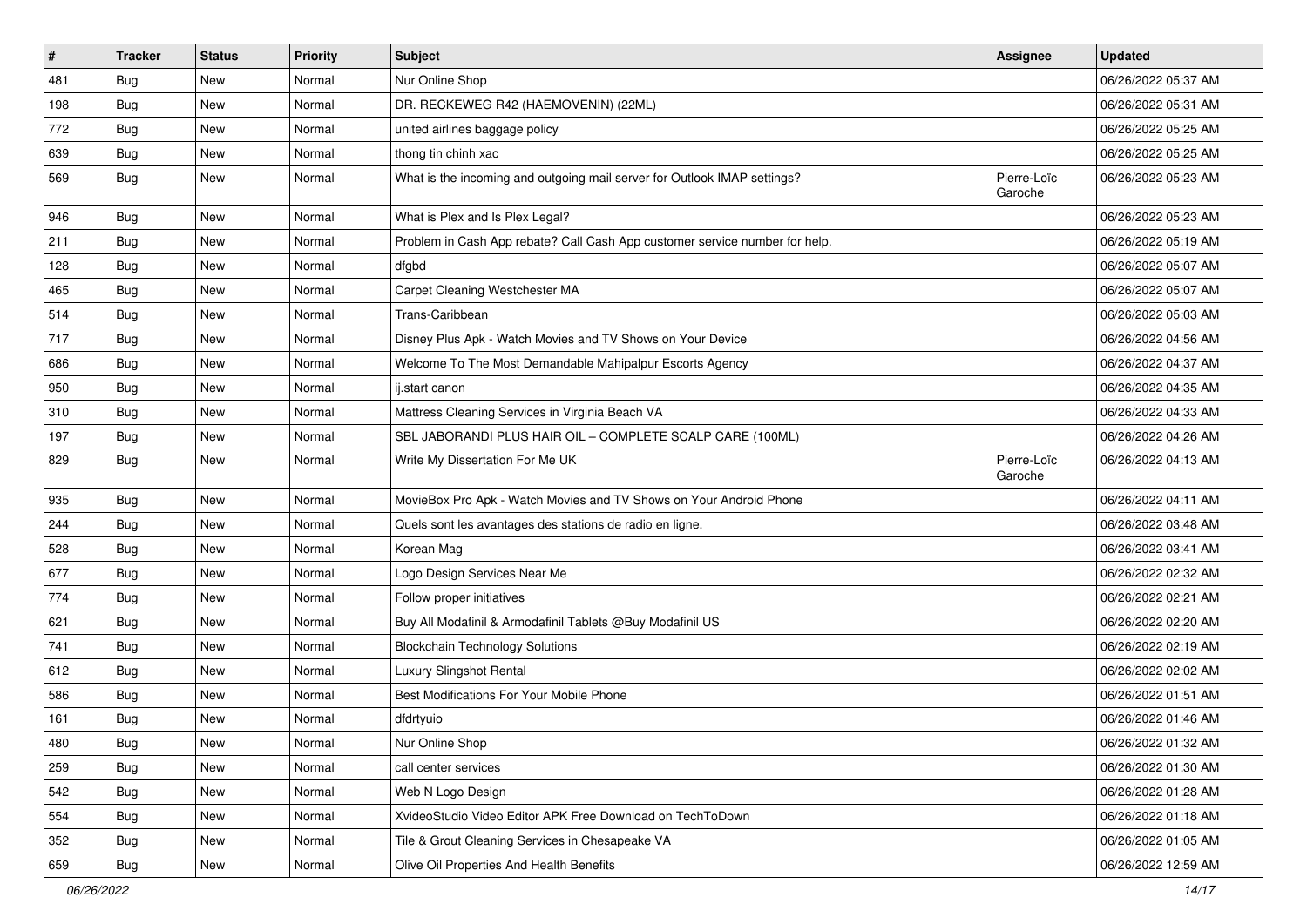| #   | <b>Tracker</b> | <b>Status</b> | <b>Priority</b> | <b>Subject</b>                                                              | Assignee               | <b>Updated</b>      |
|-----|----------------|---------------|-----------------|-----------------------------------------------------------------------------|------------------------|---------------------|
| 481 | <b>Bug</b>     | New           | Normal          | Nur Online Shop                                                             |                        | 06/26/2022 05:37 AM |
| 198 | Bug            | <b>New</b>    | Normal          | DR. RECKEWEG R42 (HAEMOVENIN) (22ML)                                        |                        | 06/26/2022 05:31 AM |
| 772 | <b>Bug</b>     | New           | Normal          | united airlines baggage policy                                              |                        | 06/26/2022 05:25 AM |
| 639 | Bug            | <b>New</b>    | Normal          | thong tin chinh xac                                                         |                        | 06/26/2022 05:25 AM |
| 569 | <b>Bug</b>     | <b>New</b>    | Normal          | What is the incoming and outgoing mail server for Outlook IMAP settings?    | Pierre-Loïc<br>Garoche | 06/26/2022 05:23 AM |
| 946 | Bug            | <b>New</b>    | Normal          | What is Plex and Is Plex Legal?                                             |                        | 06/26/2022 05:23 AM |
| 211 | Bug            | New           | Normal          | Problem in Cash App rebate? Call Cash App customer service number for help. |                        | 06/26/2022 05:19 AM |
| 128 | <b>Bug</b>     | New           | Normal          | dfgbd                                                                       |                        | 06/26/2022 05:07 AM |
| 465 | Bug            | <b>New</b>    | Normal          | Carpet Cleaning Westchester MA                                              |                        | 06/26/2022 05:07 AM |
| 514 | <b>Bug</b>     | New           | Normal          | Trans-Caribbean                                                             |                        | 06/26/2022 05:03 AM |
| 717 | Bug            | <b>New</b>    | Normal          | Disney Plus Apk - Watch Movies and TV Shows on Your Device                  |                        | 06/26/2022 04:56 AM |
| 686 | Bug            | New           | Normal          | Welcome To The Most Demandable Mahipalpur Escorts Agency                    |                        | 06/26/2022 04:37 AM |
| 950 | <b>Bug</b>     | <b>New</b>    | Normal          | ij.start canon                                                              |                        | 06/26/2022 04:35 AM |
| 310 | Bug            | <b>New</b>    | Normal          | Mattress Cleaning Services in Virginia Beach VA                             |                        | 06/26/2022 04:33 AM |
| 197 | <b>Bug</b>     | New           | Normal          | SBL JABORANDI PLUS HAIR OIL - COMPLETE SCALP CARE (100ML)                   |                        | 06/26/2022 04:26 AM |
| 829 | Bug            | New           | Normal          | Write My Dissertation For Me UK                                             | Pierre-Loïc<br>Garoche | 06/26/2022 04:13 AM |
| 935 | Bug            | New           | Normal          | MovieBox Pro Apk - Watch Movies and TV Shows on Your Android Phone          |                        | 06/26/2022 04:11 AM |
| 244 | Bug            | <b>New</b>    | Normal          | Quels sont les avantages des stations de radio en ligne.                    |                        | 06/26/2022 03:48 AM |
| 528 | Bug            | New           | Normal          | Korean Mag                                                                  |                        | 06/26/2022 03:41 AM |
| 677 | Bug            | <b>New</b>    | Normal          | Logo Design Services Near Me                                                |                        | 06/26/2022 02:32 AM |
| 774 | Bug            | <b>New</b>    | Normal          | Follow proper initiatives                                                   |                        | 06/26/2022 02:21 AM |
| 621 | <b>Bug</b>     | New           | Normal          | Buy All Modafinil & Armodafinil Tablets @Buy Modafinil US                   |                        | 06/26/2022 02:20 AM |
| 741 | Bug            | <b>New</b>    | Normal          | <b>Blockchain Technology Solutions</b>                                      |                        | 06/26/2022 02:19 AM |
| 612 | Bug            | New           | Normal          | Luxury Slingshot Rental                                                     |                        | 06/26/2022 02:02 AM |
| 586 | <b>Bug</b>     | <b>New</b>    | Normal          | Best Modifications For Your Mobile Phone                                    |                        | 06/26/2022 01:51 AM |
| 161 | <b>Bug</b>     | New           | Normal          | dfdrtyuio                                                                   |                        | 06/26/2022 01:46 AM |
| 480 | Bug            | New           | Normal          | Nur Online Shop                                                             |                        | 06/26/2022 01:32 AM |
| 259 | <b>Bug</b>     | New           | Normal          | call center services                                                        |                        | 06/26/2022 01:30 AM |
| 542 | <b>Bug</b>     | New           | Normal          | Web N Logo Design                                                           |                        | 06/26/2022 01:28 AM |
| 554 | <b>Bug</b>     | New           | Normal          | XvideoStudio Video Editor APK Free Download on TechToDown                   |                        | 06/26/2022 01:18 AM |
| 352 | Bug            | New           | Normal          | Tile & Grout Cleaning Services in Chesapeake VA                             |                        | 06/26/2022 01:05 AM |
| 659 | <b>Bug</b>     | New           | Normal          | Olive Oil Properties And Health Benefits                                    |                        | 06/26/2022 12:59 AM |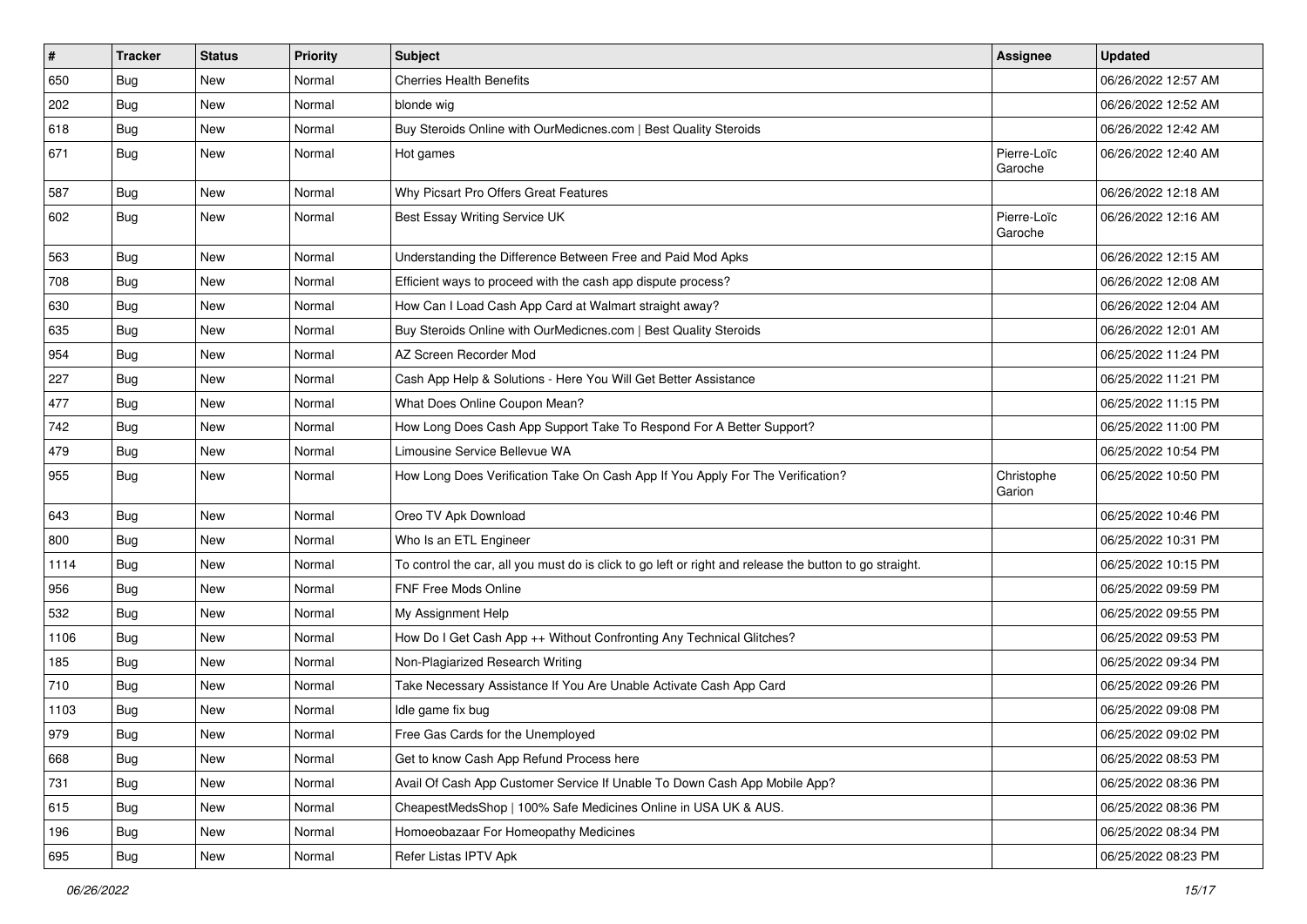| $\vert$ # | <b>Tracker</b> | <b>Status</b> | <b>Priority</b> | <b>Subject</b>                                                                                          | Assignee               | <b>Updated</b>      |
|-----------|----------------|---------------|-----------------|---------------------------------------------------------------------------------------------------------|------------------------|---------------------|
| 650       | Bug            | New           | Normal          | <b>Cherries Health Benefits</b>                                                                         |                        | 06/26/2022 12:57 AM |
| 202       | Bug            | New           | Normal          | blonde wig                                                                                              |                        | 06/26/2022 12:52 AM |
| 618       | <b>Bug</b>     | New           | Normal          | Buy Steroids Online with OurMedicnes.com   Best Quality Steroids                                        |                        | 06/26/2022 12:42 AM |
| 671       | Bug            | New           | Normal          | Hot games                                                                                               | Pierre-Loïc<br>Garoche | 06/26/2022 12:40 AM |
| 587       | Bug            | New           | Normal          | Why Picsart Pro Offers Great Features                                                                   |                        | 06/26/2022 12:18 AM |
| 602       | <b>Bug</b>     | <b>New</b>    | Normal          | Best Essay Writing Service UK                                                                           | Pierre-Loïc<br>Garoche | 06/26/2022 12:16 AM |
| 563       | Bug            | New           | Normal          | Understanding the Difference Between Free and Paid Mod Apks                                             |                        | 06/26/2022 12:15 AM |
| 708       | Bug            | New           | Normal          | Efficient ways to proceed with the cash app dispute process?                                            |                        | 06/26/2022 12:08 AM |
| 630       | <b>Bug</b>     | New           | Normal          | How Can I Load Cash App Card at Walmart straight away?                                                  |                        | 06/26/2022 12:04 AM |
| 635       | Bug            | New           | Normal          | Buy Steroids Online with OurMedicnes.com   Best Quality Steroids                                        |                        | 06/26/2022 12:01 AM |
| 954       | Bug            | New           | Normal          | AZ Screen Recorder Mod                                                                                  |                        | 06/25/2022 11:24 PM |
| 227       | Bug            | New           | Normal          | Cash App Help & Solutions - Here You Will Get Better Assistance                                         |                        | 06/25/2022 11:21 PM |
| 477       | Bug            | <b>New</b>    | Normal          | What Does Online Coupon Mean?                                                                           |                        | 06/25/2022 11:15 PM |
| 742       | <b>Bug</b>     | New           | Normal          | How Long Does Cash App Support Take To Respond For A Better Support?                                    |                        | 06/25/2022 11:00 PM |
| 479       | Bug            | New           | Normal          | Limousine Service Bellevue WA                                                                           |                        | 06/25/2022 10:54 PM |
| 955       | Bug            | New           | Normal          | How Long Does Verification Take On Cash App If You Apply For The Verification?                          | Christophe<br>Garion   | 06/25/2022 10:50 PM |
| 643       | Bug            | New           | Normal          | Oreo TV Apk Download                                                                                    |                        | 06/25/2022 10:46 PM |
| 800       | Bug            | New           | Normal          | Who Is an ETL Engineer                                                                                  |                        | 06/25/2022 10:31 PM |
| 1114      | Bug            | New           | Normal          | To control the car, all you must do is click to go left or right and release the button to go straight. |                        | 06/25/2022 10:15 PM |
| 956       | <b>Bug</b>     | New           | Normal          | FNF Free Mods Online                                                                                    |                        | 06/25/2022 09:59 PM |
| 532       | <b>Bug</b>     | New           | Normal          | My Assignment Help                                                                                      |                        | 06/25/2022 09:55 PM |
| 1106      | Bug            | New           | Normal          | How Do I Get Cash App ++ Without Confronting Any Technical Glitches?                                    |                        | 06/25/2022 09:53 PM |
| 185       | <b>Bug</b>     | New           | Normal          | Non-Plagiarized Research Writing                                                                        |                        | 06/25/2022 09:34 PM |
| 710       | Bug            | New           | Normal          | Take Necessary Assistance If You Are Unable Activate Cash App Card                                      |                        | 06/25/2022 09:26 PM |
| 1103      | <b>Bug</b>     | New           | Normal          | Idle game fix bug                                                                                       |                        | 06/25/2022 09:08 PM |
| 979       | Bug            | New           | Normal          | Free Gas Cards for the Unemployed                                                                       |                        | 06/25/2022 09:02 PM |
| 668       | Bug            | New           | Normal          | Get to know Cash App Refund Process here                                                                |                        | 06/25/2022 08:53 PM |
| 731       | Bug            | New           | Normal          | Avail Of Cash App Customer Service If Unable To Down Cash App Mobile App?                               |                        | 06/25/2022 08:36 PM |
| 615       | <b>Bug</b>     | New           | Normal          | CheapestMedsShop   100% Safe Medicines Online in USA UK & AUS.                                          |                        | 06/25/2022 08:36 PM |
| 196       | Bug            | New           | Normal          | Homoeobazaar For Homeopathy Medicines                                                                   |                        | 06/25/2022 08:34 PM |
| 695       | <b>Bug</b>     | New           | Normal          | Refer Listas IPTV Apk                                                                                   |                        | 06/25/2022 08:23 PM |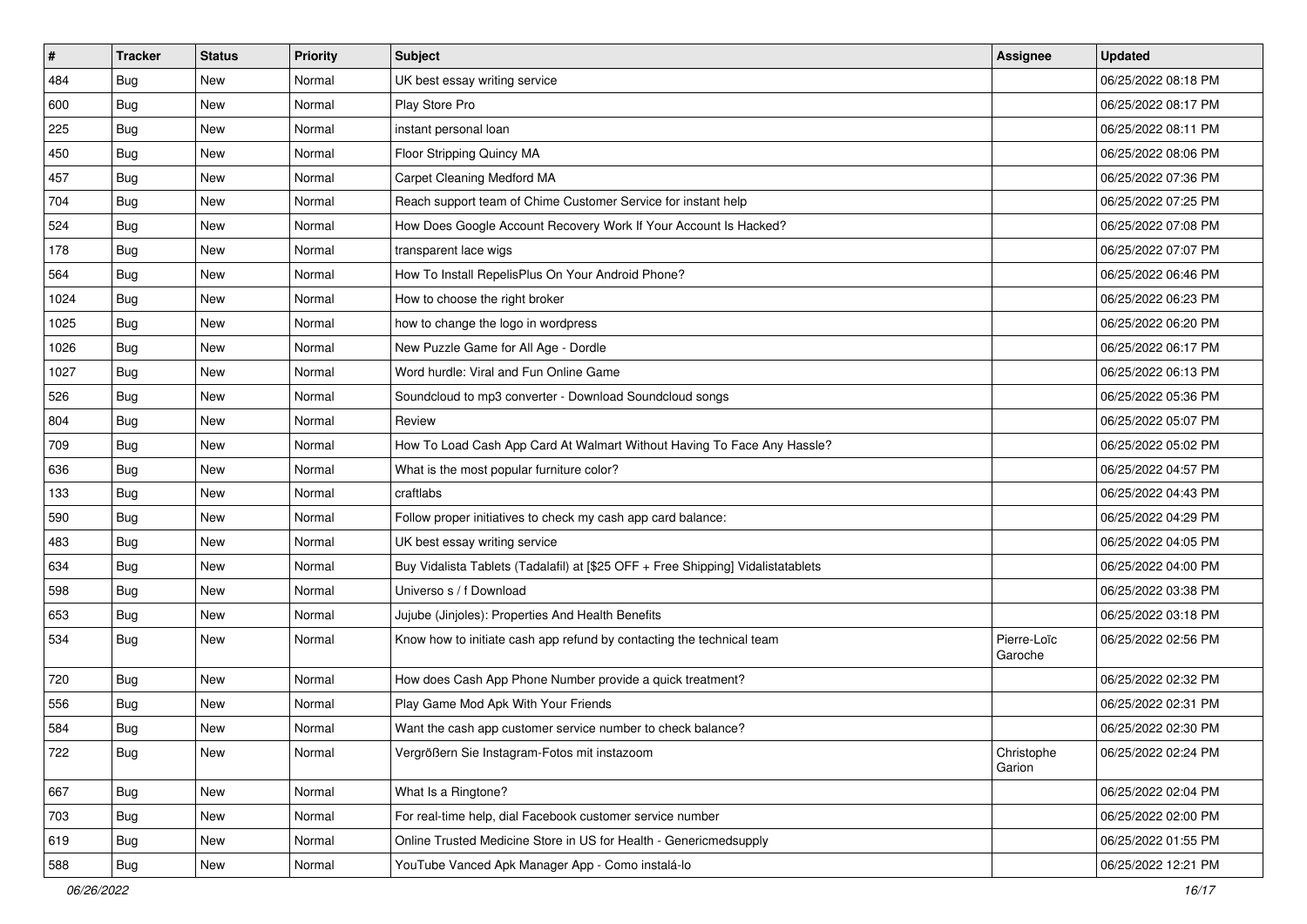| $\vert$ # | <b>Tracker</b> | <b>Status</b> | <b>Priority</b> | <b>Subject</b>                                                                   | Assignee               | <b>Updated</b>      |
|-----------|----------------|---------------|-----------------|----------------------------------------------------------------------------------|------------------------|---------------------|
| 484       | Bug            | New           | Normal          | UK best essay writing service                                                    |                        | 06/25/2022 08:18 PM |
| 600       | Bug            | <b>New</b>    | Normal          | Play Store Pro                                                                   |                        | 06/25/2022 08:17 PM |
| 225       | <b>Bug</b>     | New           | Normal          | instant personal loan                                                            |                        | 06/25/2022 08:11 PM |
| 450       | Bug            | <b>New</b>    | Normal          | Floor Stripping Quincy MA                                                        |                        | 06/25/2022 08:06 PM |
| 457       | Bug            | New           | Normal          | <b>Carpet Cleaning Medford MA</b>                                                |                        | 06/25/2022 07:36 PM |
| 704       | Bug            | New           | Normal          | Reach support team of Chime Customer Service for instant help                    |                        | 06/25/2022 07:25 PM |
| 524       | Bug            | <b>New</b>    | Normal          | How Does Google Account Recovery Work If Your Account Is Hacked?                 |                        | 06/25/2022 07:08 PM |
| 178       | <b>Bug</b>     | New           | Normal          | transparent lace wigs                                                            |                        | 06/25/2022 07:07 PM |
| 564       | <b>Bug</b>     | New           | Normal          | How To Install RepelisPlus On Your Android Phone?                                |                        | 06/25/2022 06:46 PM |
| 1024      | Bug            | <b>New</b>    | Normal          | How to choose the right broker                                                   |                        | 06/25/2022 06:23 PM |
| 1025      | <b>Bug</b>     | New           | Normal          | how to change the logo in wordpress                                              |                        | 06/25/2022 06:20 PM |
| 1026      | Bug            | New           | Normal          | New Puzzle Game for All Age - Dordle                                             |                        | 06/25/2022 06:17 PM |
| 1027      | <b>Bug</b>     | New           | Normal          | Word hurdle: Viral and Fun Online Game                                           |                        | 06/25/2022 06:13 PM |
| 526       | <b>Bug</b>     | New           | Normal          | Soundcloud to mp3 converter - Download Soundcloud songs                          |                        | 06/25/2022 05:36 PM |
| 804       | Bug            | <b>New</b>    | Normal          | Review                                                                           |                        | 06/25/2022 05:07 PM |
| 709       | <b>Bug</b>     | New           | Normal          | How To Load Cash App Card At Walmart Without Having To Face Any Hassle?          |                        | 06/25/2022 05:02 PM |
| 636       | Bug            | <b>New</b>    | Normal          | What is the most popular furniture color?                                        |                        | 06/25/2022 04:57 PM |
| 133       | <b>Bug</b>     | New           | Normal          | craftlabs                                                                        |                        | 06/25/2022 04:43 PM |
| 590       | Bug            | New           | Normal          | Follow proper initiatives to check my cash app card balance:                     |                        | 06/25/2022 04:29 PM |
| 483       | Bug            | New           | Normal          | UK best essay writing service                                                    |                        | 06/25/2022 04:05 PM |
| 634       | <b>Bug</b>     | New           | Normal          | Buy Vidalista Tablets (Tadalafil) at [\$25 OFF + Free Shipping] Vidalistatablets |                        | 06/25/2022 04:00 PM |
| 598       | <b>Bug</b>     | <b>New</b>    | Normal          | Universo s / f Download                                                          |                        | 06/25/2022 03:38 PM |
| 653       | Bug            | New           | Normal          | Jujube (Jinjoles): Properties And Health Benefits                                |                        | 06/25/2022 03:18 PM |
| 534       | <b>Bug</b>     | New           | Normal          | Know how to initiate cash app refund by contacting the technical team            | Pierre-Loïc<br>Garoche | 06/25/2022 02:56 PM |
| 720       | <b>Bug</b>     | New           | Normal          | How does Cash App Phone Number provide a quick treatment?                        |                        | 06/25/2022 02:32 PM |
| 556       | Bug            | New           | Normal          | Play Game Mod Apk With Your Friends                                              |                        | 06/25/2022 02:31 PM |
| 584       | <b>Bug</b>     | <b>New</b>    | Normal          | Want the cash app customer service number to check balance?                      |                        | 06/25/2022 02:30 PM |
| 722       | <b>Bug</b>     | New           | Normal          | Vergrößern Sie Instagram-Fotos mit instazoom                                     | Christophe<br>Garion   | 06/25/2022 02:24 PM |
| 667       | <b>Bug</b>     | New           | Normal          | What Is a Ringtone?                                                              |                        | 06/25/2022 02:04 PM |
| 703       | <b>Bug</b>     | New           | Normal          | For real-time help, dial Facebook customer service number                        |                        | 06/25/2022 02:00 PM |
| 619       | Bug            | New           | Normal          | Online Trusted Medicine Store in US for Health - Genericmedsupply                |                        | 06/25/2022 01:55 PM |
| 588       | <b>Bug</b>     | New           | Normal          | YouTube Vanced Apk Manager App - Como instalá-lo                                 |                        | 06/25/2022 12:21 PM |